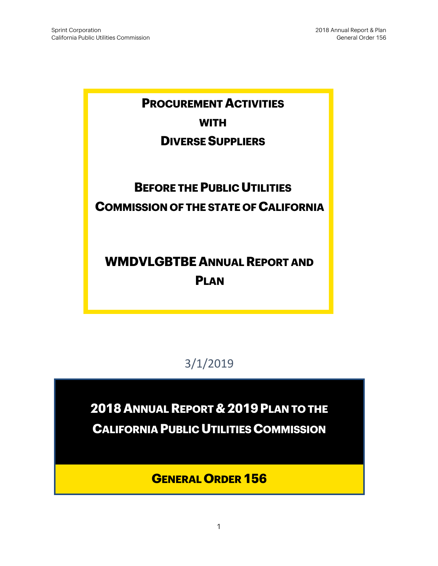# **PROCUREMENT ACTIVITIES WITH**

## **DIVERSE SUPPLIERS**

# **BEFORE THE PUBLIC UTILITIES COMMISSION OF THE STATE OF CALIFORNIA**

# **WMDVLGBTBE ANNUAL REPORT AND PLAN**

3/1/2019

**2018 ANNUAL REPORT & 2019PLAN TO THE** 

**CALIFORNIA PUBLIC UTILITIES COMMISSION** 

**GENERAL ORDER 156**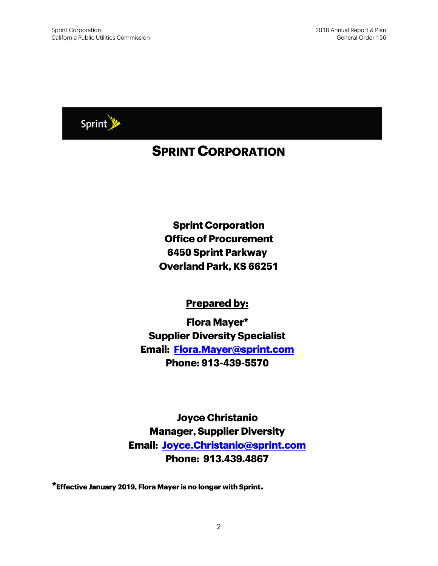

# **SPRINT CORPORATION**

**Sprint Corporation Office of Procurement 6450 Sprint Parkway Overland Park, KS 66251**

### **Prepared by:**

**Flora Mayer\* Supplier Diversity Specialist Email: [Flora.Mayer@sprint.com](mailto:Flora.Mayer@sprint.com) Phone: 913-439-5570**

**Joyce Christanio Manager, Supplier Diversity Email: [Joyce.Christanio@sprint.com](mailto:Joyce.Christanio@sprint.com) Phone: 913.439.4867**

**\*Effective January 2019, Flora Mayer is no longer with Sprint.**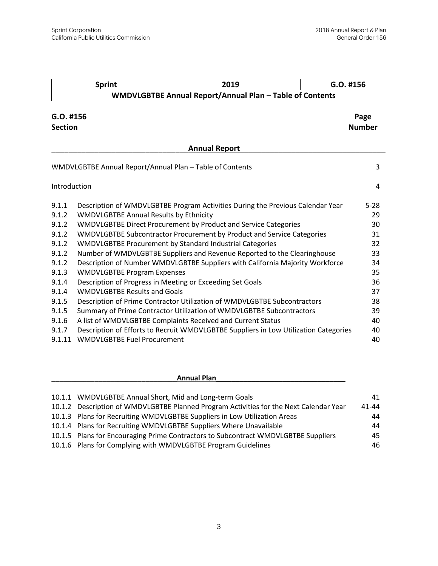|                               | <b>Sprint</b>                                 | 2019                                                                                 | G.O. #156             |
|-------------------------------|-----------------------------------------------|--------------------------------------------------------------------------------------|-----------------------|
|                               |                                               | WMDVLGBTBE Annual Report/Annual Plan - Table of Contents                             |                       |
| $G.O.$ #156<br><b>Section</b> |                                               |                                                                                      | Page<br><b>Number</b> |
|                               |                                               | <b>Annual Report</b>                                                                 |                       |
|                               |                                               | WMDVLGBTBE Annual Report/Annual Plan - Table of Contents                             | 3                     |
| Introduction                  |                                               |                                                                                      | 4                     |
| 9.1.1                         |                                               | Description of WMDVLGBTBE Program Activities During the Previous Calendar Year       | $5 - 28$              |
| 9.1.2                         | <b>WMDVLGBTBE Annual Results by Ethnicity</b> |                                                                                      | 29                    |
| 9.1.2                         |                                               | WMDVLGBTBE Direct Procurement by Product and Service Categories                      | 30                    |
| 9.1.2                         |                                               | WMDVLGBTBE Subcontractor Procurement by Product and Service Categories               | 31                    |
| 9.1.2                         |                                               | WMDVLGBTBE Procurement by Standard Industrial Categories                             | 32                    |
| 9.1.2                         |                                               | Number of WMDVLGBTBE Suppliers and Revenue Reported to the Clearinghouse             | 33                    |
| 9.1.2                         |                                               | Description of Number WMDVLGBTBE Suppliers with California Majority Workforce        | 34                    |
| 9.1.3                         | <b>WMDVLGBTBE Program Expenses</b>            |                                                                                      | 35                    |
| 9.1.4                         |                                               | Description of Progress in Meeting or Exceeding Set Goals                            | 36                    |
| 9.1.4                         | <b>WMDVLGBTBE Results and Goals</b>           |                                                                                      | 37                    |
| 9.1.5                         |                                               | Description of Prime Contractor Utilization of WMDVLGBTBE Subcontractors             | 38                    |
| 9.1.5                         |                                               | Summary of Prime Contractor Utilization of WMDVLGBTBE Subcontractors                 | 39                    |
| 9.1.6                         |                                               | A list of WMDVLGBTBE Complaints Received and Current Status                          | 40                    |
| 9.1.7                         |                                               | Description of Efforts to Recruit WMDVLGBTBE Suppliers in Low Utilization Categories | 40                    |
| 9.1.11                        | <b>WMDVLGBTBE Fuel Procurement</b>            |                                                                                      | 40                    |

| <b>Annual Plan</b>                                                                     |           |
|----------------------------------------------------------------------------------------|-----------|
|                                                                                        |           |
| 10.1.1 WMDVLGBTBE Annual Short, Mid and Long-term Goals                                | 41        |
| 10.1.2 Description of WMDVLGBTBE Planned Program Activities for the Next Calendar Year | $41 - 44$ |
| 10.1.3 Plans for Recruiting WMDVLGBTBE Suppliers in Low Utilization Areas              | 44        |
| 10.1.4 Plans for Recruiting WMDVLGBTBE Suppliers Where Unavailable                     | 44        |
| 10.1.5 Plans for Encouraging Prime Contractors to Subcontract WMDVLGBTBE Suppliers     | 45        |
| 10.1.6 Plans for Complying with WMDVLGBTBE Program Guidelines                          | 46        |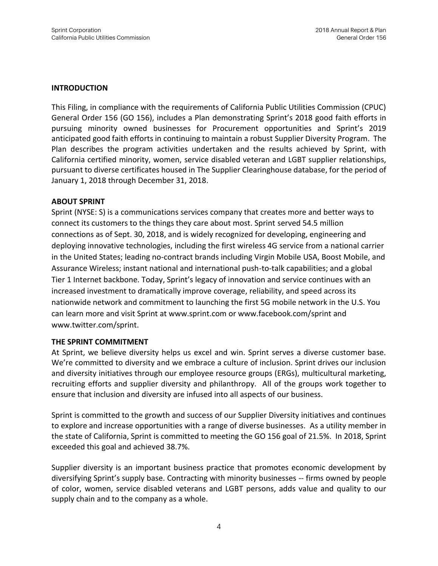#### **INTRODUCTION**

This Filing, in compliance with the requirements of California Public Utilities Commission (CPUC) General Order 156 (GO 156), includes a Plan demonstrating Sprint's 2018 good faith efforts in pursuing minority owned businesses for Procurement opportunities and Sprint's 2019 anticipated good faith efforts in continuing to maintain a robust Supplier Diversity Program. The Plan describes the program activities undertaken and the results achieved by Sprint, with California certified minority, women, service disabled veteran and LGBT supplier relationships, pursuant to diverse certificates housed in The Supplier Clearinghouse database, for the period of January 1, 2018 through December 31, 2018.

#### **ABOUT SPRINT**

Sprint (NYSE: S) is a communications services company that creates more and better ways to connect its customers to the things they care about most. Sprint served 54.5 million connections as of Sept. 30, 2018, and is widely recognized for developing, engineering and deploying innovative technologies, including the first wireless 4G service from a national carrier in the United States; leading no-contract brands including Virgin Mobile USA, Boost Mobile, and Assurance Wireless; instant national and international push-to-talk capabilities; and a global Tier 1 Internet backbone. Today, Sprint's legacy of innovation and service continues with an increased investment to dramatically improve coverage, reliability, and speed across its nationwide network and commitment to launching the first 5G mobile network in the U.S. You can learn more and visit Sprint at www.sprint.com or www.facebook.com/sprint and www.twitter.com/sprint.

#### **THE SPRINT COMMITMENT**

At Sprint, we believe diversity helps us excel and win. Sprint serves a diverse customer base. We're committed to diversity and we embrace a culture of inclusion. Sprint drives our inclusion and diversity initiatives through our employee resource groups (ERGs), multicultural marketing, recruiting efforts and supplier diversity and philanthropy. All of the groups work together to ensure that inclusion and diversity are infused into all aspects of our business.

Sprint is committed to the growth and success of our Supplier Diversity initiatives and continues to explore and increase opportunities with a range of diverse businesses. As a utility member in the state of California, Sprint is committed to meeting the GO 156 goal of 21.5%. In 2018, Sprint exceeded this goal and achieved 38.7%.

Supplier diversity is an important business practice that promotes economic development by diversifying Sprint's supply base. Contracting with minority businesses -- firms owned by people of color, women, service disabled veterans and LGBT persons, adds value and quality to our supply chain and to the company as a whole.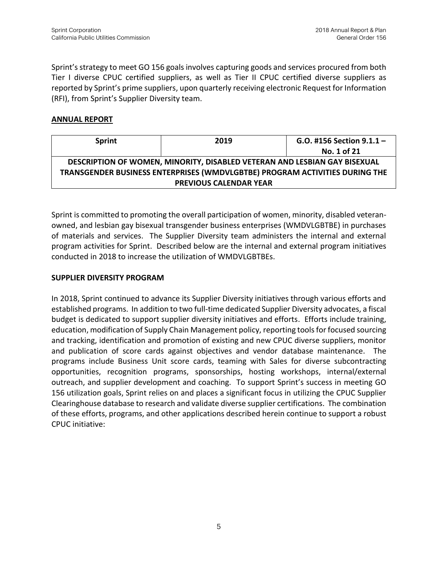Sprint's strategy to meet GO 156 goals involves capturing goods and services procured from both Tier I diverse CPUC certified suppliers, as well as Tier II CPUC certified diverse suppliers as reported by Sprint's prime suppliers, upon quarterly receiving electronic Request for Information (RFI), from Sprint's Supplier Diversity team.

#### **ANNUAL REPORT**

| <b>Sprint</b> | 2019                                                                        | G.O. #156 Section $9.1.1 -$ |
|---------------|-----------------------------------------------------------------------------|-----------------------------|
|               |                                                                             | No. 1 of 21                 |
|               | DESCRIPTION OF WOMEN, MINORITY, DISABLED VETERAN AND LESBIAN GAY BISEXUAL   |                             |
|               | TRANSGENDER BUSINESS ENTERPRISES (WMDVLGBTBE) PROGRAM ACTIVITIES DURING THE |                             |
|               | <b>PREVIOUS CALENDAR YEAR</b>                                               |                             |

Sprint is committed to promoting the overall participation of women, minority, disabled veteranowned, and lesbian gay bisexual transgender business enterprises (WMDVLGBTBE) in purchases of materials and services. The Supplier Diversity team administers the internal and external program activities for Sprint. Described below are the internal and external program initiatives conducted in 2018 to increase the utilization of WMDVLGBTBEs.

#### **SUPPLIER DIVERSITY PROGRAM**

In 2018, Sprint continued to advance its Supplier Diversity initiatives through various efforts and established programs. In addition to two full-time dedicated Supplier Diversity advocates, a fiscal budget is dedicated to support supplier diversity initiatives and efforts. Efforts include training, education, modification of Supply Chain Management policy, reporting tools for focused sourcing and tracking, identification and promotion of existing and new CPUC diverse suppliers, monitor and publication of score cards against objectives and vendor database maintenance. The programs include Business Unit score cards, teaming with Sales for diverse subcontracting opportunities, recognition programs, sponsorships, hosting workshops, internal/external outreach, and supplier development and coaching. To support Sprint's success in meeting GO 156 utilization goals, Sprint relies on and places a significant focus in utilizing the CPUC Supplier Clearinghouse database to research and validate diverse supplier certifications. The combination of these efforts, programs, and other applications described herein continue to support a robust CPUC initiative: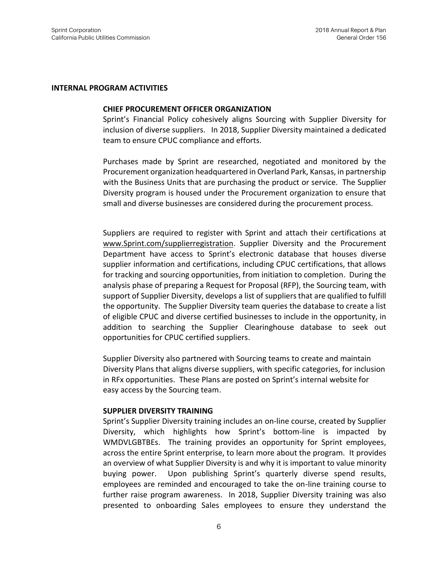#### **INTERNAL PROGRAM ACTIVITIES**

#### **CHIEF PROCUREMENT OFFICER ORGANIZATION**

Sprint's Financial Policy cohesively aligns Sourcing with Supplier Diversity for inclusion of diverse suppliers. In 2018, Supplier Diversity maintained a dedicated team to ensure CPUC compliance and efforts.

Purchases made by Sprint are researched, negotiated and monitored by the Procurement organization headquartered in Overland Park, Kansas, in partnership with the Business Units that are purchasing the product or service. The Supplier Diversity program is housed under the Procurement organization to ensure that small and diverse businesses are considered during the procurement process.

Suppliers are required to register with Sprint and attach their certifications at [www.Sprint.com/supplierregistration.](http://www.sprint.com/supplierregistration) Supplier Diversity and the Procurement Department have access to Sprint's electronic database that houses diverse supplier information and certifications, including CPUC certifications, that allows for tracking and sourcing opportunities, from initiation to completion. During the analysis phase of preparing a Request for Proposal (RFP), the Sourcing team, with support of Supplier Diversity, develops a list of suppliers that are qualified to fulfill the opportunity. The Supplier Diversity team queries the database to create a list of eligible CPUC and diverse certified businesses to include in the opportunity, in addition to searching the Supplier Clearinghouse database to seek out opportunities for CPUC certified suppliers.

Supplier Diversity also partnered with Sourcing teams to create and maintain Diversity Plans that aligns diverse suppliers, with specific categories, for inclusion in RFx opportunities. These Plans are posted on Sprint's internal website for easy access by the Sourcing team.

#### **SUPPLIER DIVERSITY TRAINING**

Sprint's Supplier Diversity training includes an on-line course, created by Supplier Diversity, which highlights how Sprint's bottom-line is impacted by WMDVLGBTBEs. The training provides an opportunity for Sprint employees, across the entire Sprint enterprise, to learn more about the program. It provides an overview of what Supplier Diversity is and why it is important to value minority buying power. Upon publishing Sprint's quarterly diverse spend results, employees are reminded and encouraged to take the on-line training course to further raise program awareness. In 2018, Supplier Diversity training was also presented to onboarding Sales employees to ensure they understand the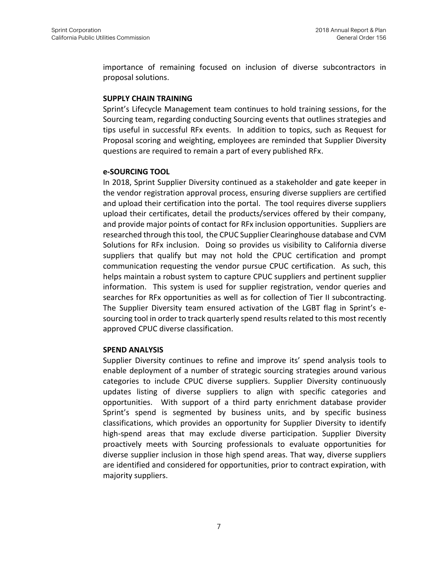importance of remaining focused on inclusion of diverse subcontractors in proposal solutions.

#### **SUPPLY CHAIN TRAINING**

Sprint's Lifecycle Management team continues to hold training sessions, for the Sourcing team, regarding conducting Sourcing events that outlines strategies and tips useful in successful RFx events. In addition to topics, such as Request for Proposal scoring and weighting, employees are reminded that Supplier Diversity questions are required to remain a part of every published RFx.

#### **e-SOURCING TOOL**

In 2018, Sprint Supplier Diversity continued as a stakeholder and gate keeper in the vendor registration approval process, ensuring diverse suppliers are certified and upload their certification into the portal. The tool requires diverse suppliers upload their certificates, detail the products/services offered by their company, and provide major points of contact for RFx inclusion opportunities. Suppliers are researched through this tool, the CPUC Supplier Clearinghouse database and CVM Solutions for RFx inclusion. Doing so provides us visibility to California diverse suppliers that qualify but may not hold the CPUC certification and prompt communication requesting the vendor pursue CPUC certification. As such, this helps maintain a robust system to capture CPUC suppliers and pertinent supplier information. This system is used for supplier registration, vendor queries and searches for RFx opportunities as well as for collection of Tier II subcontracting. The Supplier Diversity team ensured activation of the LGBT flag in Sprint's esourcing tool in order to track quarterly spend results related to this most recently approved CPUC diverse classification.

#### **SPEND ANALYSIS**

Supplier Diversity continues to refine and improve its' spend analysis tools to enable deployment of a number of strategic sourcing strategies around various categories to include CPUC diverse suppliers. Supplier Diversity continuously updates listing of diverse suppliers to align with specific categories and opportunities. With support of a third party enrichment database provider Sprint's spend is segmented by business units, and by specific business classifications, which provides an opportunity for Supplier Diversity to identify high-spend areas that may exclude diverse participation. Supplier Diversity proactively meets with Sourcing professionals to evaluate opportunities for diverse supplier inclusion in those high spend areas. That way, diverse suppliers are identified and considered for opportunities, prior to contract expiration, with majority suppliers.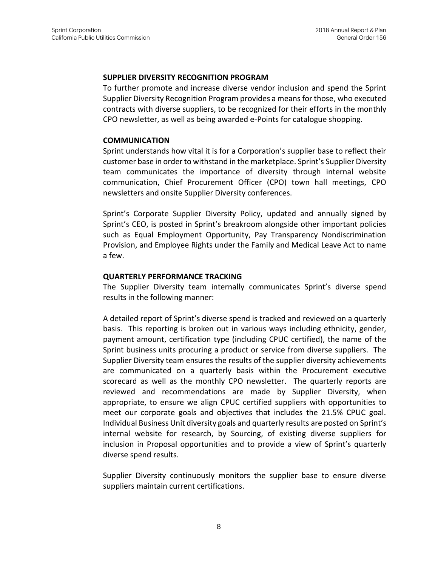#### **SUPPLIER DIVERSITY RECOGNITION PROGRAM**

To further promote and increase diverse vendor inclusion and spend the Sprint Supplier Diversity Recognition Program provides a means for those, who executed contracts with diverse suppliers, to be recognized for their efforts in the monthly CPO newsletter, as well as being awarded e-Points for catalogue shopping.

#### **COMMUNICATION**

Sprint understands how vital it is for a Corporation's supplier base to reflect their customer base in order to withstand in the marketplace. Sprint's Supplier Diversity team communicates the importance of diversity through internal website communication, Chief Procurement Officer (CPO) town hall meetings, CPO newsletters and onsite Supplier Diversity conferences.

Sprint's Corporate Supplier Diversity Policy, updated and annually signed by Sprint's CEO, is posted in Sprint's breakroom alongside other important policies such as Equal Employment Opportunity, Pay Transparency Nondiscrimination Provision, and Employee Rights under the Family and Medical Leave Act to name a few.

#### **QUARTERLY PERFORMANCE TRACKING**

The Supplier Diversity team internally communicates Sprint's diverse spend results in the following manner:

A detailed report of Sprint's diverse spend is tracked and reviewed on a quarterly basis. This reporting is broken out in various ways including ethnicity, gender, payment amount, certification type (including CPUC certified), the name of the Sprint business units procuring a product or service from diverse suppliers. The Supplier Diversity team ensures the results of the supplier diversity achievements are communicated on a quarterly basis within the Procurement executive scorecard as well as the monthly CPO newsletter. The quarterly reports are reviewed and recommendations are made by Supplier Diversity, when appropriate, to ensure we align CPUC certified suppliers with opportunities to meet our corporate goals and objectives that includes the 21.5% CPUC goal. Individual Business Unit diversity goals and quarterly results are posted on Sprint's internal website for research, by Sourcing, of existing diverse suppliers for inclusion in Proposal opportunities and to provide a view of Sprint's quarterly diverse spend results.

Supplier Diversity continuously monitors the supplier base to ensure diverse suppliers maintain current certifications.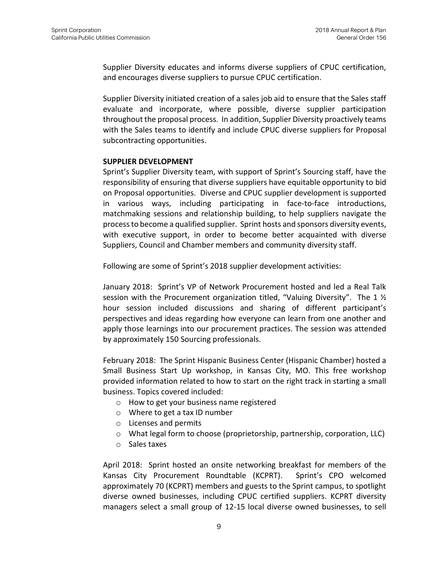Supplier Diversity educates and informs diverse suppliers of CPUC certification, and encourages diverse suppliers to pursue CPUC certification.

Supplier Diversity initiated creation of a sales job aid to ensure that the Sales staff evaluate and incorporate, where possible, diverse supplier participation throughout the proposal process. In addition, Supplier Diversity proactively teams with the Sales teams to identify and include CPUC diverse suppliers for Proposal subcontracting opportunities.

#### **SUPPLIER DEVELOPMENT**

Sprint's Supplier Diversity team, with support of Sprint's Sourcing staff, have the responsibility of ensuring that diverse suppliers have equitable opportunity to bid on Proposal opportunities. Diverse and CPUC supplier development is supported in various ways, including participating in face-to-face introductions, matchmaking sessions and relationship building, to help suppliers navigate the processto become a qualified supplier. Sprint hosts and sponsors diversity events, with executive support, in order to become better acquainted with diverse Suppliers, Council and Chamber members and community diversity staff.

Following are some of Sprint's 2018 supplier development activities:

January 2018: Sprint's VP of Network Procurement hosted and led a Real Talk session with the Procurement organization titled, "Valuing Diversity". The 1 ½ hour session included discussions and sharing of different participant's perspectives and ideas regarding how everyone can learn from one another and apply those learnings into our procurement practices. The session was attended by approximately 150 Sourcing professionals.

February 2018: The Sprint Hispanic Business Center (Hispanic Chamber) hosted a Small Business Start Up workshop, in Kansas City, MO. This free workshop provided information related to how to start on the right track in starting a small business. Topics covered included:

- o How to get your business name registered
- o Where to get a tax ID number
- o Licenses and permits
- o What legal form to choose (proprietorship, partnership, corporation, LLC)
- o Sales taxes

April 2018: Sprint hosted an onsite networking breakfast for members of the Kansas City Procurement Roundtable (KCPRT). Sprint's CPO welcomed approximately 70 (KCPRT) members and guests to the Sprint campus, to spotlight diverse owned businesses, including CPUC certified suppliers. KCPRT diversity managers select a small group of 12-15 local diverse owned businesses, to sell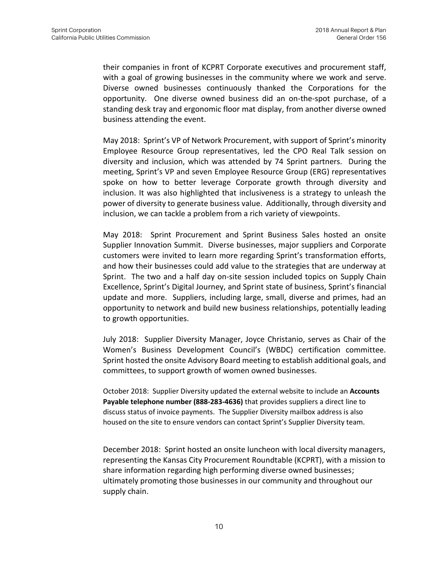their companies in front of KCPRT Corporate executives and procurement staff, with a goal of growing businesses in the community where we work and serve. Diverse owned businesses continuously thanked the Corporations for the opportunity. One diverse owned business did an on-the-spot purchase, of a standing desk tray and ergonomic floor mat display, from another diverse owned business attending the event.

May 2018: Sprint's VP of Network Procurement, with support of Sprint's minority Employee Resource Group representatives, led the CPO Real Talk session on diversity and inclusion, which was attended by 74 Sprint partners. During the meeting, Sprint's VP and seven Employee Resource Group (ERG) representatives spoke on how to better leverage Corporate growth through diversity and inclusion. It was also highlighted that inclusiveness is a strategy to unleash the power of diversity to generate business value. Additionally, through diversity and inclusion, we can tackle a problem from a rich variety of viewpoints.

May 2018: Sprint Procurement and Sprint Business Sales hosted an onsite Supplier Innovation Summit. Diverse businesses, major suppliers and Corporate customers were invited to learn more regarding Sprint's transformation efforts, and how their businesses could add value to the strategies that are underway at Sprint. The two and a half day on-site session included topics on Supply Chain Excellence, Sprint's Digital Journey, and Sprint state of business, Sprint's financial update and more. Suppliers, including large, small, diverse and primes, had an opportunity to network and build new business relationships, potentially leading to growth opportunities.

July 2018: Supplier Diversity Manager, Joyce Christanio, serves as Chair of the Women's Business Development Council's (WBDC) certification committee. Sprint hosted the onsite Advisory Board meeting to establish additional goals, and committees, to support growth of women owned businesses.

October 2018: Supplier Diversity updated the external website to include an **Accounts Payable telephone number (888-283-4636)** that provides suppliers a direct line to discuss status of invoice payments. The Supplier Diversity mailbox address is also housed on the site to ensure vendors can contact Sprint's Supplier Diversity team.

December 2018: Sprint hosted an onsite luncheon with local diversity managers, representing the Kansas City Procurement Roundtable (KCPRT), with a mission to share information regarding high performing diverse owned businesses; ultimately promoting those businesses in our community and throughout our supply chain.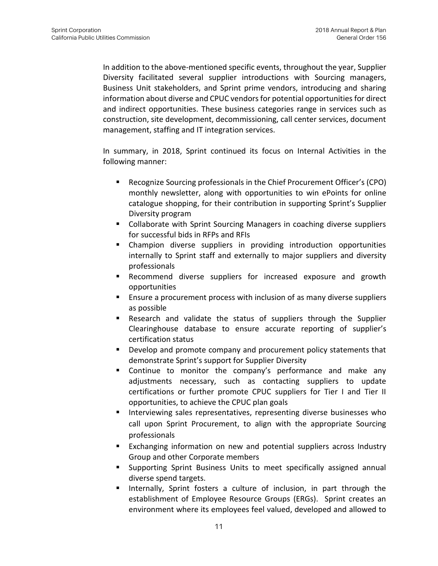In addition to the above-mentioned specific events, throughout the year, Supplier Diversity facilitated several supplier introductions with Sourcing managers, Business Unit stakeholders, and Sprint prime vendors, introducing and sharing information about diverse and CPUC vendors for potential opportunities for direct and indirect opportunities. These business categories range in services such as construction, site development, decommissioning, call center services, document management, staffing and IT integration services.

In summary, in 2018, Sprint continued its focus on Internal Activities in the following manner:

- Recognize Sourcing professionals in the Chief Procurement Officer's (CPO) monthly newsletter, along with opportunities to win ePoints for online catalogue shopping, for their contribution in supporting Sprint's Supplier Diversity program
- Collaborate with Sprint Sourcing Managers in coaching diverse suppliers for successful bids in RFPs and RFIs
- Champion diverse suppliers in providing introduction opportunities internally to Sprint staff and externally to major suppliers and diversity professionals
- Recommend diverse suppliers for increased exposure and growth opportunities
- Ensure a procurement process with inclusion of as many diverse suppliers as possible
- Research and validate the status of suppliers through the Supplier Clearinghouse database to ensure accurate reporting of supplier's certification status
- Develop and promote company and procurement policy statements that demonstrate Sprint's support for Supplier Diversity
- Continue to monitor the company's performance and make any adjustments necessary, such as contacting suppliers to update certifications or further promote CPUC suppliers for Tier I and Tier II opportunities, to achieve the CPUC plan goals
- Interviewing sales representatives, representing diverse businesses who call upon Sprint Procurement, to align with the appropriate Sourcing professionals
- Exchanging information on new and potential suppliers across Industry Group and other Corporate members
- Supporting Sprint Business Units to meet specifically assigned annual diverse spend targets.
- Internally, Sprint fosters a culture of inclusion, in part through the establishment of Employee Resource Groups (ERGs). Sprint creates an environment where its employees feel valued, developed and allowed to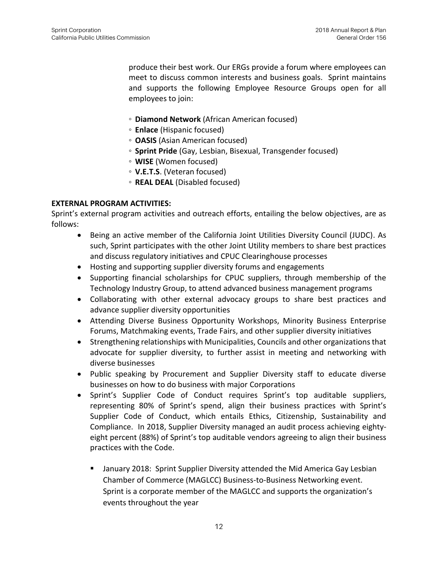produce their best work. Our ERGs provide a forum where employees can meet to discuss common interests and business goals. Sprint maintains and supports the following Employee Resource Groups open for all employees to join:

- **Diamond Network** (African American focused)
- **Enlace** (Hispanic focused)
- **OASIS** (Asian American focused)
- **Sprint Pride** (Gay, Lesbian, Bisexual, Transgender focused)
- **WISE** (Women focused)
- **◦ V.E.T.S**. (Veteran focused)
- **REAL DEAL** (Disabled focused)

#### **EXTERNAL PROGRAM ACTIVITIES:**

Sprint's external program activities and outreach efforts, entailing the below objectives, are as follows:

- Being an active member of the California Joint Utilities Diversity Council (JUDC). As such, Sprint participates with the other Joint Utility members to share best practices and discuss regulatory initiatives and CPUC Clearinghouse processes
- Hosting and supporting supplier diversity forums and engagements
- Supporting financial scholarships for CPUC suppliers, through membership of the Technology Industry Group, to attend advanced business management programs
- Collaborating with other external advocacy groups to share best practices and advance supplier diversity opportunities
- Attending Diverse Business Opportunity Workshops, Minority Business Enterprise Forums, Matchmaking events, Trade Fairs, and other supplier diversity initiatives
- Strengthening relationships with Municipalities, Councils and other organizations that advocate for supplier diversity, to further assist in meeting and networking with diverse businesses
- Public speaking by Procurement and Supplier Diversity staff to educate diverse businesses on how to do business with major Corporations
- Sprint's Supplier Code of Conduct requires Sprint's top auditable suppliers, representing 80% of Sprint's spend, align their business practices with Sprint's Supplier Code of Conduct, which entails Ethics, Citizenship, Sustainability and Compliance. In 2018, Supplier Diversity managed an audit process achieving eightyeight percent (88%) of Sprint's top auditable vendors agreeing to align their business practices with the Code.
	- January 2018: Sprint Supplier Diversity attended the Mid America Gay Lesbian Chamber of Commerce (MAGLCC) Business-to-Business Networking event. Sprint is a corporate member of the MAGLCC and supports the organization's events throughout the year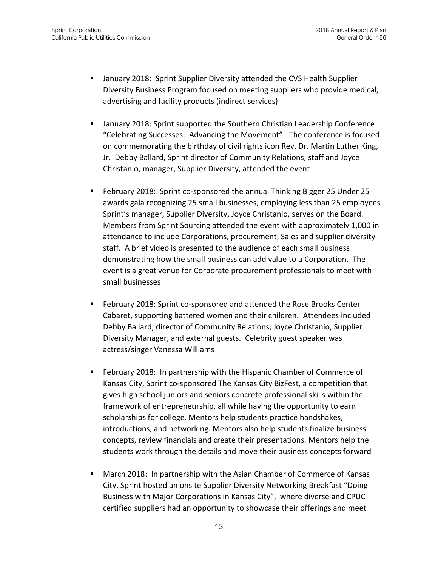- January 2018: Sprint Supplier Diversity attended the CVS Health Supplier Diversity Business Program focused on meeting suppliers who provide medical, advertising and facility products (indirect services)
- January 2018: Sprint supported the Southern Christian Leadership Conference "Celebrating Successes: Advancing the Movement". The conference is focused on commemorating the birthday of civil rights icon Rev. Dr. Martin Luther King, Jr. Debby Ballard, Sprint director of Community Relations, staff and Joyce Christanio, manager, Supplier Diversity, attended the event
- February 2018: Sprint co-sponsored the annual Thinking Bigger 25 Under 25 awards gala recognizing 25 small businesses, employing less than 25 employees Sprint's manager, Supplier Diversity, Joyce Christanio, serves on the Board. Members from Sprint Sourcing attended the event with approximately 1,000 in attendance to include Corporations, procurement, Sales and supplier diversity staff. A brief video is presented to the audience of each small business demonstrating how the small business can add value to a Corporation. The event is a great venue for Corporate procurement professionals to meet with small businesses
- February 2018: Sprint co-sponsored and attended the Rose Brooks Center Cabaret, supporting battered women and their children. Attendees included Debby Ballard, director of Community Relations, Joyce Christanio, Supplier Diversity Manager, and external guests. Celebrity guest speaker was actress/singer Vanessa Williams
- February 2018: In partnership with the Hispanic Chamber of Commerce of Kansas City, Sprint co-sponsored The Kansas City BizFest, a competition that gives high school juniors and seniors concrete professional skills within the framework of entrepreneurship, all while having the opportunity to earn scholarships for college. Mentors help students practice handshakes, introductions, and networking. Mentors also help students finalize business concepts, review financials and create their presentations. Mentors help the students work through the details and move their business concepts forward
- March 2018: In partnership with the Asian Chamber of Commerce of Kansas City, Sprint hosted an onsite Supplier Diversity Networking Breakfast "Doing Business with Major Corporations in Kansas City", where diverse and CPUC certified suppliers had an opportunity to showcase their offerings and meet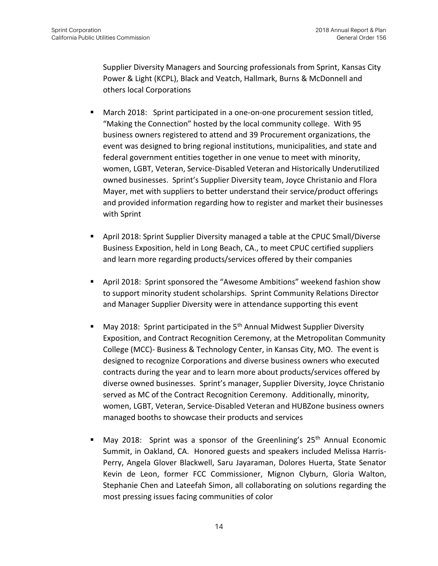Supplier Diversity Managers and Sourcing professionals from Sprint, Kansas City Power & Light (KCPL), Black and Veatch, Hallmark, Burns & McDonnell and others local Corporations

- March 2018: Sprint participated in a one-on-one procurement session titled, "Making the Connection" hosted by the local community college. With 95 business owners registered to attend and 39 Procurement organizations, the event was designed to bring regional institutions, municipalities, and state and federal government entities together in one venue to meet with minority, women, LGBT, Veteran, Service-Disabled Veteran and Historically Underutilized owned businesses. Sprint's Supplier Diversity team, Joyce Christanio and Flora Mayer, met with suppliers to better understand their service/product offerings and provided information regarding how to register and market their businesses with Sprint
- April 2018: Sprint Supplier Diversity managed a table at the CPUC Small/Diverse Business Exposition, held in Long Beach, CA., to meet CPUC certified suppliers and learn more regarding products/services offered by their companies
- April 2018: Sprint sponsored the "Awesome Ambitions" weekend fashion show to support minority student scholarships. Sprint Community Relations Director and Manager Supplier Diversity were in attendance supporting this event
- May 2018: Sprint participated in the  $5<sup>th</sup>$  Annual Midwest Supplier Diversity Exposition, and Contract Recognition Ceremony, at the Metropolitan Community College (MCC)- Business & Technology Center, in Kansas City, MO. The event is designed to recognize Corporations and diverse business owners who executed contracts during the year and to learn more about products/services offered by diverse owned businesses. Sprint's manager, Supplier Diversity, Joyce Christanio served as MC of the Contract Recognition Ceremony. Additionally, minority, women, LGBT, Veteran, Service-Disabled Veteran and HUBZone business owners managed booths to showcase their products and services
- May 2018: Sprint was a sponsor of the Greenlining's  $25<sup>th</sup>$  Annual Economic Summit, in Oakland, CA. Honored guests and speakers included Melissa Harris-Perry, Angela Glover Blackwell, Saru Jayaraman, Dolores Huerta, State Senator Kevin de Leon, former FCC Commissioner, Mignon Clyburn, Gloria Walton, Stephanie Chen and Lateefah Simon, all collaborating on solutions regarding the most pressing issues facing communities of color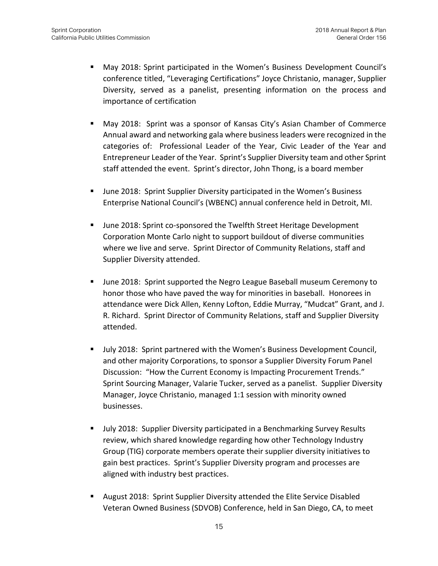- May 2018: Sprint participated in the Women's Business Development Council's conference titled, "Leveraging Certifications" Joyce Christanio, manager, Supplier Diversity, served as a panelist, presenting information on the process and importance of certification
- May 2018: Sprint was a sponsor of Kansas City's Asian Chamber of Commerce Annual award and networking gala where business leaders were recognized in the categories of: Professional Leader of the Year, Civic Leader of the Year and Entrepreneur Leader of the Year. Sprint's Supplier Diversity team and other Sprint staff attended the event. Sprint's director, John Thong, is a board member
- **■** June 2018: Sprint Supplier Diversity participated in the Women's Business Enterprise National Council's (WBENC) annual conference held in Detroit, MI.
- June 2018: Sprint co-sponsored the Twelfth Street Heritage Development Corporation Monte Carlo night to support buildout of diverse communities where we live and serve. Sprint Director of Community Relations, staff and Supplier Diversity attended.
- June 2018: Sprint supported the Negro League Baseball museum Ceremony to honor those who have paved the way for minorities in baseball. Honorees in attendance were Dick Allen, Kenny Lofton, Eddie Murray, "Mudcat" Grant, and J. R. Richard. Sprint Director of Community Relations, staff and Supplier Diversity attended.
- July 2018: Sprint partnered with the Women's Business Development Council, and other majority Corporations, to sponsor a Supplier Diversity Forum Panel Discussion: "How the Current Economy is Impacting Procurement Trends." Sprint Sourcing Manager, Valarie Tucker, served as a panelist. Supplier Diversity Manager, Joyce Christanio, managed 1:1 session with minority owned businesses.
- July 2018: Supplier Diversity participated in a Benchmarking Survey Results review, which shared knowledge regarding how other Technology Industry Group (TIG) corporate members operate their supplier diversity initiatives to gain best practices. Sprint's Supplier Diversity program and processes are aligned with industry best practices.
- August 2018: Sprint Supplier Diversity attended the Elite Service Disabled Veteran Owned Business (SDVOB) Conference, held in San Diego, CA, to meet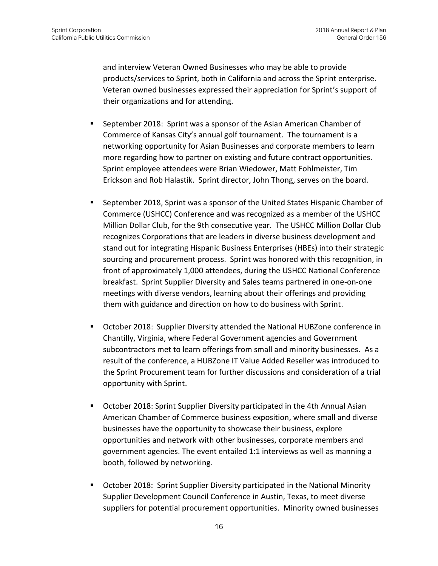and interview Veteran Owned Businesses who may be able to provide products/services to Sprint, both in California and across the Sprint enterprise. Veteran owned businesses expressed their appreciation for Sprint's support of their organizations and for attending.

- September 2018: Sprint was a sponsor of the Asian American Chamber of Commerce of Kansas City's annual golf tournament. The tournament is a networking opportunity for Asian Businesses and corporate members to learn more regarding how to partner on existing and future contract opportunities. Sprint employee attendees were Brian Wiedower, Matt Fohlmeister, Tim Erickson and Rob Halastik. Sprint director, John Thong, serves on the board.
- September 2018, Sprint was a sponsor of the United States Hispanic Chamber of Commerce (USHCC) Conference and was recognized as a member of the USHCC Million Dollar Club, for the 9th consecutive year. The USHCC Million Dollar Club recognizes Corporations that are leaders in diverse business development and stand out for integrating Hispanic Business Enterprises (HBEs) into their strategic sourcing and procurement process. Sprint was honored with this recognition, in front of approximately 1,000 attendees, during the USHCC National Conference breakfast. Sprint Supplier Diversity and Sales teams partnered in one-on-one meetings with diverse vendors, learning about their offerings and providing them with guidance and direction on how to do business with Sprint.
- October 2018: Supplier Diversity attended the National HUBZone conference in Chantilly, Virginia, where Federal Government agencies and Government subcontractors met to learn offerings from small and minority businesses. As a result of the conference, a HUBZone IT Value Added Reseller was introduced to the Sprint Procurement team for further discussions and consideration of a trial opportunity with Sprint.
- **October 2018: Sprint Supplier Diversity participated in the 4th Annual Asian** American Chamber of Commerce business exposition, where small and diverse businesses have the opportunity to showcase their business, explore opportunities and network with other businesses, corporate members and government agencies. The event entailed 1:1 interviews as well as manning a booth, followed by networking.
- October 2018: Sprint Supplier Diversity participated in the National Minority Supplier Development Council Conference in Austin, Texas, to meet diverse suppliers for potential procurement opportunities. Minority owned businesses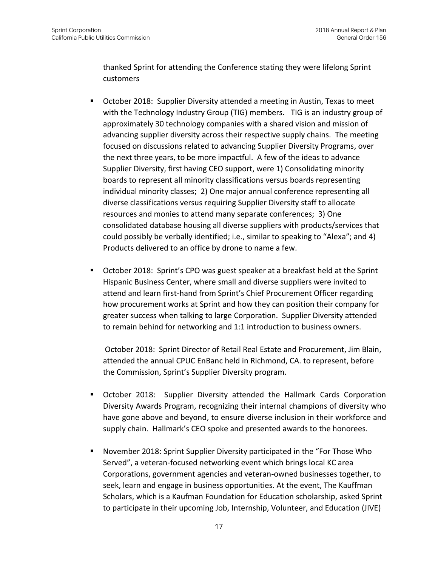thanked Sprint for attending the Conference stating they were lifelong Sprint customers

- October 2018: Supplier Diversity attended a meeting in Austin, Texas to meet with the Technology Industry Group (TIG) members. TIG is an industry group of approximately 30 technology companies with a shared vision and mission of advancing supplier diversity across their respective supply chains. The meeting focused on discussions related to advancing Supplier Diversity Programs, over the next three years, to be more impactful. A few of the ideas to advance Supplier Diversity, first having CEO support, were 1) Consolidating minority boards to represent all minority classifications versus boards representing individual minority classes; 2) One major annual conference representing all diverse classifications versus requiring Supplier Diversity staff to allocate resources and monies to attend many separate conferences; 3) One consolidated database housing all diverse suppliers with products/services that could possibly be verbally identified; i.e., similar to speaking to "Alexa"; and 4) Products delivered to an office by drone to name a few.
- October 2018: Sprint's CPO was guest speaker at a breakfast held at the Sprint Hispanic Business Center, where small and diverse suppliers were invited to attend and learn first-hand from Sprint's Chief Procurement Officer regarding how procurement works at Sprint and how they can position their company for greater success when talking to large Corporation. Supplier Diversity attended to remain behind for networking and 1:1 introduction to business owners.

October 2018: Sprint Director of Retail Real Estate and Procurement, Jim Blain, attended the annual CPUC EnBanc held in Richmond, CA. to represent, before the Commission, Sprint's Supplier Diversity program.

- October 2018: Supplier Diversity attended the Hallmark Cards Corporation Diversity Awards Program, recognizing their internal champions of diversity who have gone above and beyond, to ensure diverse inclusion in their workforce and supply chain. Hallmark's CEO spoke and presented awards to the honorees.
- November 2018: Sprint Supplier Diversity participated in the "For Those Who Served", a veteran-focused networking event which brings local KC area Corporations, government agencies and veteran-owned businesses together, to seek, learn and engage in business opportunities. At the event, The Kauffman Scholars, which is a Kaufman Foundation for Education scholarship, asked Sprint to participate in their upcoming Job, Internship, Volunteer, and Education (JIVE)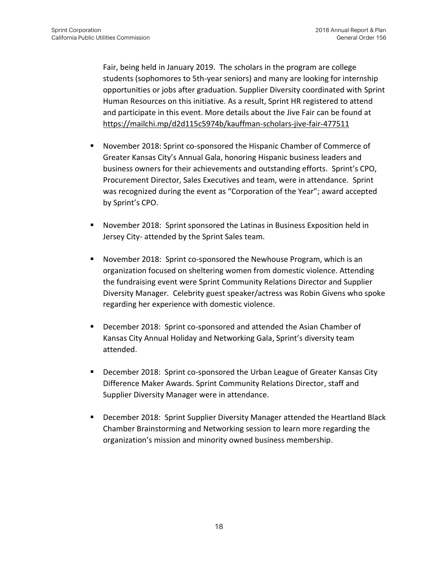Fair, being held in January 2019. The scholars in the program are college students (sophomores to 5th-year seniors) and many are looking for internship opportunities or jobs after graduation. Supplier Diversity coordinated with Sprint Human Resources on this initiative. As a result, Sprint HR registered to attend and participate in this event. More details about the Jive Fair can be found at <https://mailchi.mp/d2d115c5974b/kauffman-scholars-jive-fair-477511>

- November 2018: Sprint co-sponsored the Hispanic Chamber of Commerce of Greater Kansas City's Annual Gala, honoring Hispanic business leaders and business owners for their achievements and outstanding efforts. Sprint's CPO, Procurement Director, Sales Executives and team, were in attendance. Sprint was recognized during the event as "Corporation of the Year"; award accepted by Sprint's CPO.
- November 2018: Sprint sponsored the Latinas in Business Exposition held in Jersey City- attended by the Sprint Sales team.
- November 2018: Sprint co-sponsored the Newhouse Program, which is an organization focused on sheltering women from domestic violence. Attending the fundraising event were Sprint Community Relations Director and Supplier Diversity Manager. Celebrity guest speaker/actress was Robin Givens who spoke regarding her experience with domestic violence.
- December 2018: Sprint co-sponsored and attended the Asian Chamber of Kansas City Annual Holiday and Networking Gala, Sprint's diversity team attended.
- December 2018: Sprint co-sponsored the Urban League of Greater Kansas City Difference Maker Awards. Sprint Community Relations Director, staff and Supplier Diversity Manager were in attendance.
- **■** December 2018: Sprint Supplier Diversity Manager attended the Heartland Black Chamber Brainstorming and Networking session to learn more regarding the organization's mission and minority owned business membership.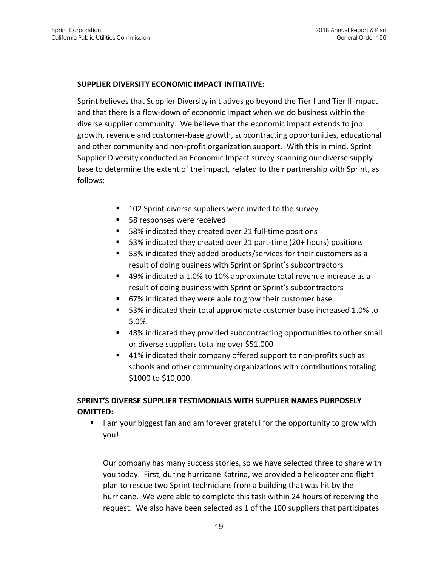#### **SUPPLIER DIVERSITY ECONOMIC IMPACT INITIATIVE:**

Sprint believes that Supplier Diversity initiatives go beyond the Tier I and Tier II impact and that there is a flow-down of economic impact when we do business within the diverse supplier community. We believe that the economic impact extends to job growth, revenue and customer-base growth, subcontracting opportunities, educational and other community and non-profit organization support. With this in mind, Sprint Supplier Diversity conducted an Economic Impact survey scanning our diverse supply base to determine the extent of the impact, related to their partnership with Sprint, as follows:

- 102 Sprint diverse suppliers were invited to the survey
- 58 responses were received
- 58% indicated they created over 21 full-time positions
- 53% indicated they created over 21 part-time (20+ hours) positions
- 53% indicated they added products/services for their customers as a result of doing business with Sprint or Sprint's subcontractors
- 49% indicated a 1.0% to 10% approximate total revenue increase as a result of doing business with Sprint or Sprint's subcontractors
- 67% indicated they were able to grow their customer base
- 53% indicated their total approximate customer base increased 1.0% to 5.0%.
- 48% indicated they provided subcontracting opportunities to other small or diverse suppliers totaling over \$51,000
- 41% indicated their company offered support to non-profits such as schools and other community organizations with contributions totaling \$1000 to \$10,000.

#### **SPRINT'S DIVERSE SUPPLIER TESTIMONIALS WITH SUPPLIER NAMES PURPOSELY OMITTED:**

■ I am your biggest fan and am forever grateful for the opportunity to grow with you!

Our company has many success stories, so we have selected three to share with you today. First, during hurricane Katrina, we provided a helicopter and flight plan to rescue two Sprint technicians from a building that was hit by the hurricane. We were able to complete this task within 24 hours of receiving the request. We also have been selected as 1 of the 100 suppliers that participates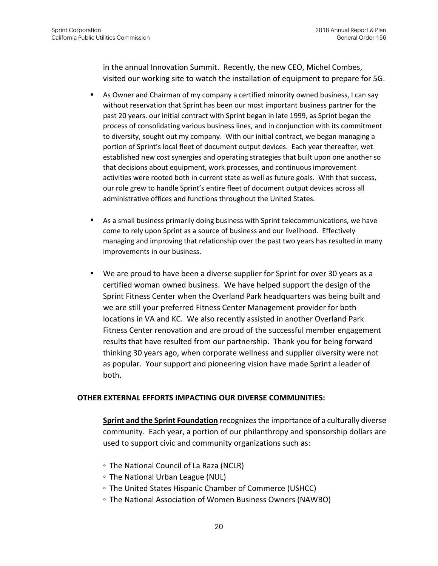in the annual Innovation Summit. Recently, the new CEO, Michel Combes, visited our working site to watch the installation of equipment to prepare for 5G.

- **EXEL As Owner and Chairman of my company a certified minority owned business, I can say** without reservation that Sprint has been our most important business partner for the past 20 years. our initial contract with Sprint began in late 1999, as Sprint began the process of consolidating various business lines, and in conjunction with its commitment to diversity, sought out my company. With our initial contract, we began managing a portion of Sprint's local fleet of document output devices. Each year thereafter, wet established new cost synergies and operating strategies that built upon one another so that decisions about equipment, work processes, and continuous improvement activities were rooted both in current state as well as future goals. With that success, our role grew to handle Sprint's entire fleet of document output devices across all administrative offices and functions throughout the United States.
- As a small business primarily doing business with Sprint telecommunications, we have come to rely upon Sprint as a source of business and our livelihood. Effectively managing and improving that relationship over the past two years has resulted in many improvements in our business.
- We are proud to have been a diverse supplier for Sprint for over 30 years as a certified woman owned business. We have helped support the design of the Sprint Fitness Center when the Overland Park headquarters was being built and we are still your preferred Fitness Center Management provider for both locations in VA and KC. We also recently assisted in another Overland Park Fitness Center renovation and are proud of the successful member engagement results that have resulted from our partnership. Thank you for being forward thinking 30 years ago, when corporate wellness and supplier diversity were not as popular. Your support and pioneering vision have made Sprint a leader of both.

#### **OTHER EXTERNAL EFFORTS IMPACTING OUR DIVERSE COMMUNITIES:**

**Sprint and the Sprint Foundation** recognizes the importance of a culturally diverse community. Each year, a portion of our philanthropy and sponsorship dollars are used to support civic and community organizations such as:

- The National Council of La Raza (NCLR)
- The National Urban League (NUL)
- The United States Hispanic Chamber of Commerce (USHCC)
- The National Association of Women Business Owners (NAWBO)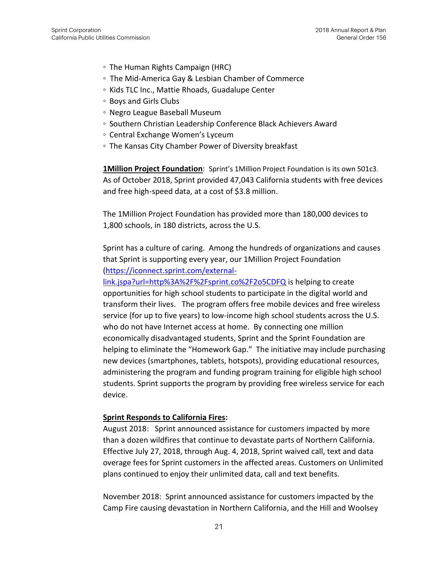- The Human Rights Campaign (HRC)
- The Mid-America Gay & Lesbian Chamber of Commerce
- Kids TLC Inc., Mattie Rhoads, Guadalupe Center
- Boys and Girls Clubs
- Negro League Baseball Museum
- Southern Christian Leadership Conference Black Achievers Award
- Central Exchange Women's Lyceum
- The Kansas City Chamber Power of Diversity breakfast

**1Million Project Foundation**: Sprint's 1Million Project Foundation is its own 501c3. As of October 2018, Sprint provided 47,043 California students with free devices and free high-speed data, at a cost of \$3.8 million.

The 1Million Project Foundation has provided more than 180,000 devices to 1,800 schools, in 180 districts, across the U.S.

Sprint has a culture of caring. Among the hundreds of organizations and causes that Sprint is supporting every year, our 1Million Project Foundation [\(https://iconnect.sprint.com/external-](https://iconnect.sprint.com/external-link.jspa?url=http%3A%2F%2Fsprint.co%2F2o5CDFQ)

[link.jspa?url=http%3A%2F%2Fsprint.co%2F2o5CDFQ](https://iconnect.sprint.com/external-link.jspa?url=http%3A%2F%2Fsprint.co%2F2o5CDFQ) is helping to create opportunities for high school students to participate in the digital world and transform their lives. The program offers free mobile devices and free wireless service (for up to five years) to low-income high school students across the U.S. who do not have Internet access at home. By connecting one million economically disadvantaged students, Sprint and the Sprint Foundation are helping to eliminate the "Homework Gap." The initiative may include purchasing new devices (smartphones, tablets, hotspots), providing educational resources, administering the program and funding program training for eligible high school students. Sprint supports the program by providing free wireless service for each device.

#### **Sprint Responds to California Fires:**

August 2018: Sprint announced assistance for customers impacted by more than a dozen wildfires that continue to devastate parts of Northern California. Effective July 27, 2018, through Aug. 4, 2018, Sprint waived call, text and data overage fees for Sprint customers in the affected areas. Customers on Unlimited plans continued to enjoy their unlimited data, call and text benefits.

November 2018: Sprint announced assistance for customers impacted by the Camp Fire causing devastation in Northern California, and the Hill and Woolsey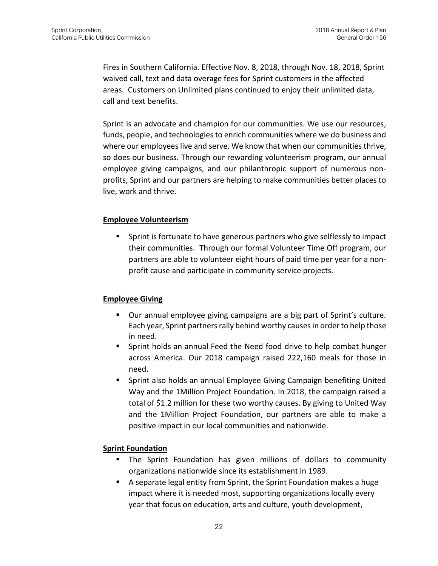Fires in Southern California. Effective Nov. 8, 2018, through Nov. 18, 2018, Sprint waived call, text and data overage fees for Sprint customers in the affected areas. Customers on Unlimited plans continued to enjoy their unlimited data, call and text benefits.

Sprint is an advocate and champion for our communities. We use our resources, funds, people, and technologies to enrich communities where we do business and where our employees live and serve. We know that when our communities thrive, so does our business. Through our rewarding volunteerism program, our annual employee giving campaigns, and our philanthropic support of numerous nonprofits, Sprint and our partners are helping to make communities better places to live, work and thrive.

#### **Employee Volunteerism**

■ Sprint is fortunate to have generous partners who give selflessly to impact their communities. Through our formal Volunteer Time Off program, our partners are able to volunteer eight hours of paid time per year for a nonprofit cause and participate in community service projects.

#### **Employee Giving**

- Our annual employee giving campaigns are a big part of Sprint's culture. Each year, Sprint partners rally behind worthy causes in order to help those in need.
- Sprint holds an annual Feed the Need food drive to help combat hunger across America. Our 2018 campaign raised 222,160 meals for those in need.
- Sprint also holds an annual Employee Giving Campaign benefiting United Way and the 1Million Project Foundation. In 2018, the campaign raised a total of \$1.2 million for these two worthy causes. By giving to United Way and the 1Million Project Foundation, our partners are able to make a positive impact in our local communities and nationwide.

#### **Sprint Foundation**

- The Sprint Foundation has given millions of dollars to community organizations nationwide since its establishment in 1989.
- A separate legal entity from Sprint, the Sprint Foundation makes a huge impact where it is needed most, supporting organizations locally every year that focus on education, arts and culture, youth development,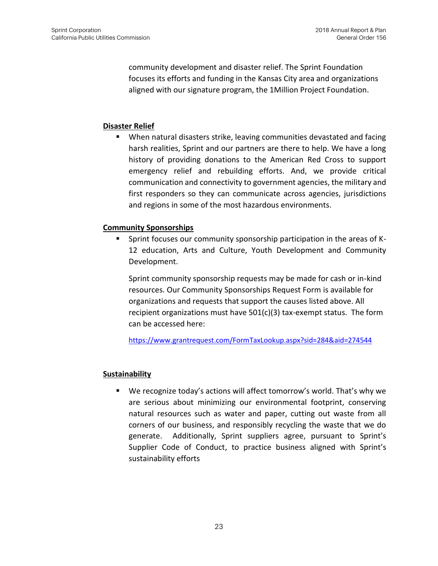community development and disaster relief. The Sprint Foundation focuses its efforts and funding in the Kansas City area and organizations aligned with our signature program, the 1Million Project Foundation.

#### **Disaster Relief**

When natural disasters strike, leaving communities devastated and facing harsh realities, Sprint and our partners are there to help. We have a long history of providing donations to the American Red Cross to support emergency relief and rebuilding efforts. And, we provide critical communication and connectivity to government agencies, the military and first responders so they can communicate across agencies, jurisdictions and regions in some of the most hazardous environments.

#### **Community Sponsorships**

**EXED** Sprint focuses our community sponsorship participation in the areas of K-12 education, Arts and Culture, Youth Development and Community Development.

Sprint community sponsorship requests may be made for cash or in-kind resources. Our Community Sponsorships Request Form is available for organizations and requests that support the causes listed above. All recipient organizations must have 501(c)(3) tax-exempt status. The form can be accessed here:

<https://www.grantrequest.com/FormTaxLookup.aspx?sid=284&aid=274544>

#### **Sustainability**

■ We recognize today's actions will affect tomorrow's world. That's why we are serious about minimizing our environmental footprint, conserving natural resources such as water and paper, cutting out waste from all corners of our business, and responsibly recycling the waste that we do generate. Additionally, Sprint suppliers agree, pursuant to Sprint's Supplier Code of Conduct, to practice business aligned with Sprint's sustainability efforts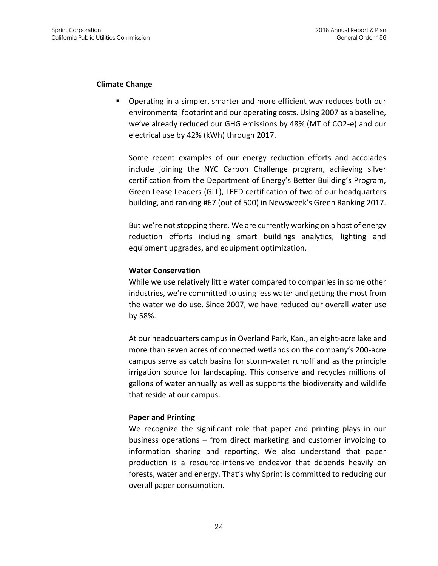#### **Climate Change**

**•** Operating in a simpler, smarter and more efficient way reduces both our environmental footprint and our operating costs. Using 2007 as a baseline, we've already reduced our GHG emissions by 48% (MT of CO2-e) and our electrical use by 42% (kWh) through 2017.

Some recent examples of our energy reduction efforts and accolades include joining the NYC Carbon Challenge program, achieving silver certification from the Department of Energy's Better Building's Program, Green Lease Leaders (GLL), LEED certification of two of our headquarters building, and ranking #67 (out of 500) in Newsweek's Green Ranking 2017.

But we're not stopping there. We are currently working on a host of energy reduction efforts including smart buildings analytics, lighting and equipment upgrades, and equipment optimization.

#### **Water Conservation**

While we use relatively little water compared to companies in some other industries, we're committed to using less water and getting the most from the water we do use. Since 2007, we have reduced our overall water use by 58%.

At our headquarters campus in Overland Park, Kan., an eight-acre lake and more than seven acres of connected wetlands on the company's 200-acre campus serve as catch basins for storm-water runoff and as the principle irrigation source for landscaping. This conserve and recycles millions of gallons of water annually as well as supports the biodiversity and wildlife that reside at our campus.

#### **Paper and Printing**

We recognize the significant role that paper and printing plays in our business operations – from direct marketing and customer invoicing to information sharing and reporting. We also understand that paper production is a resource-intensive endeavor that depends heavily on forests, water and energy. That's why Sprint is committed to reducing our overall paper consumption.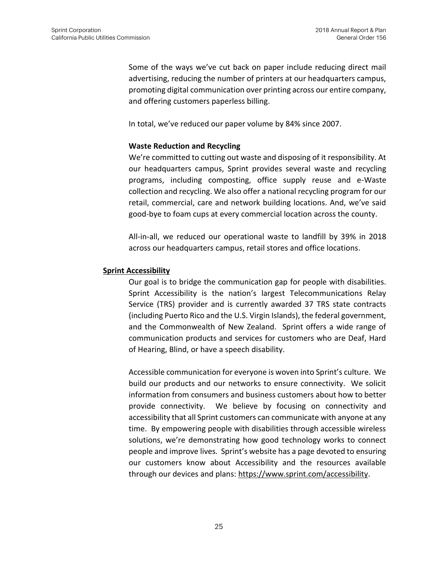Some of the ways we've cut back on paper include reducing direct mail advertising, reducing the number of printers at our headquarters campus, promoting digital communication over printing across our entire company, and offering customers paperless billing.

In total, we've reduced our paper volume by 84% since 2007.

#### **Waste Reduction and Recycling**

We're committed to cutting out waste and disposing of it responsibility. At our headquarters campus, Sprint provides several waste and recycling programs, including composting, office supply reuse and e-Waste collection and recycling. We also offer a national recycling program for our retail, commercial, care and network building locations. And, we've said good-bye to foam cups at every commercial location across the county.

All-in-all, we reduced our operational waste to landfill by 39% in 2018 across our headquarters campus, retail stores and office locations.

#### **Sprint Accessibility**

Our goal is to bridge the communication gap for people with disabilities. Sprint Accessibility is the nation's largest Telecommunications Relay Service (TRS) provider and is currently awarded 37 TRS state contracts (including Puerto Rico and the U.S. Virgin Islands), the federal government, and the Commonwealth of New Zealand. Sprint offers a wide range of communication products and services for customers who are Deaf, Hard of Hearing, Blind, or have a speech disability.

Accessible communication for everyone is woven into Sprint's culture. We build our products and our networks to ensure connectivity. We solicit information from consumers and business customers about how to better provide connectivity. We believe by focusing on connectivity and accessibility that all Sprint customers can communicate with anyone at any time. By empowering people with disabilities through accessible wireless solutions, we're demonstrating how good technology works to connect people and improve lives. Sprint's website has a page devoted to ensuring our customers know about Accessibility and the resources available through our devices and plans: [https://www.sprint.com/accessibility.](https://www.sprint.com/accessibility)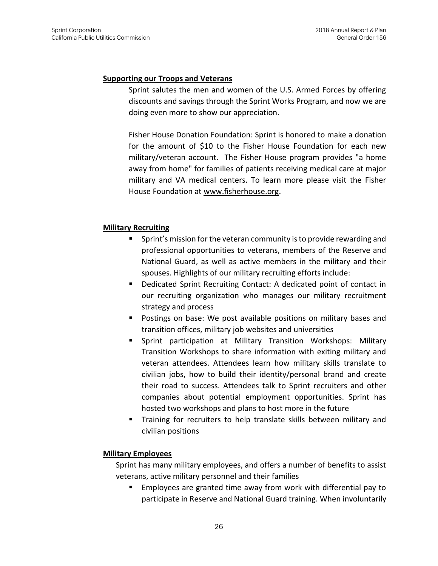#### **Supporting our Troops and Veterans**

Sprint salutes the men and women of the U.S. Armed Forces by offering discounts and savings through the Sprint Works Program, and now we are doing even more to show our appreciation.

Fisher House Donation Foundation: Sprint is honored to make a donation for the amount of \$10 to the Fisher House Foundation for each new military/veteran account. The Fisher House program provides "a home away from home" for families of patients receiving medical care at major military and VA medical centers. To learn more please visit the Fisher House Foundation at [www.fisherhouse.org.](http://www.fisherhouse.org/)

#### **Military Recruiting**

- Sprint's mission for the veteran community is to provide rewarding and professional opportunities to veterans, members of the Reserve and National Guard, as well as active members in the military and their spouses. Highlights of our military recruiting efforts include:
- Dedicated Sprint Recruiting Contact: A dedicated point of contact in our recruiting organization who manages our military recruitment strategy and process
- Postings on base: We post available positions on military bases and transition offices, military job websites and universities
- Sprint participation at Military Transition Workshops: Military Transition Workshops to share information with exiting military and veteran attendees. Attendees learn how military skills translate to civilian jobs, how to build their identity/personal brand and create their road to success. Attendees talk to Sprint recruiters and other companies about potential employment opportunities. Sprint has hosted two workshops and plans to host more in the future
- Training for recruiters to help translate skills between military and civilian positions

#### **Military Employees**

Sprint has many military employees, and offers a number of benefits to assist veterans, active military personnel and their families

■ Employees are granted time away from work with differential pay to participate in Reserve and National Guard training. When involuntarily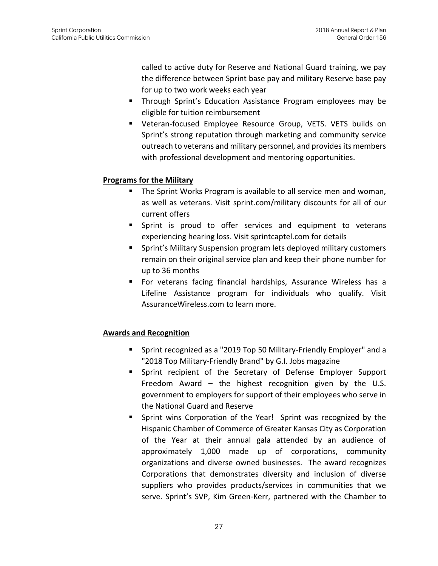called to active duty for Reserve and National Guard training, we pay the difference between Sprint base pay and military Reserve base pay for up to two work weeks each year

- Through Sprint's Education Assistance Program employees may be eligible for tuition reimbursement
- Veteran-focused Employee Resource Group, VETS. VETS builds on Sprint's strong reputation through marketing and community service outreach to veterans and military personnel, and provides its members with professional development and mentoring opportunities.

#### **Programs for the Military**

- The Sprint Works Program is available to all service men and woman, as well as veterans. Visit sprint.com/military discounts for all of our current offers
- **E** Sprint is proud to offer services and equipment to veterans experiencing hearing loss. Visit sprintcaptel.com for details
- Sprint's Military Suspension program lets deployed military customers remain on their original service plan and keep their phone number for up to 36 months
- For veterans facing financial hardships, Assurance Wireless has a Lifeline Assistance program for individuals who qualify. Visit AssuranceWireless.com to learn more.

#### **Awards and Recognition**

- Sprint recognized as a "2019 Top 50 Military-Friendly Employer" and a "2018 Top Military-Friendly Brand" by G.I. Jobs magazine
- Sprint recipient of the Secretary of Defense Employer Support Freedom Award – the highest recognition given by the U.S. government to employers for support of their employees who serve in the National Guard and Reserve
- Sprint wins Corporation of the Year! Sprint was recognized by the Hispanic Chamber of Commerce of Greater Kansas City as Corporation of the Year at their annual gala attended by an audience of approximately 1,000 made up of corporations, community organizations and diverse owned businesses. The award recognizes Corporations that demonstrates diversity and inclusion of diverse suppliers who provides products/services in communities that we serve. Sprint's SVP, Kim Green-Kerr, partnered with the Chamber to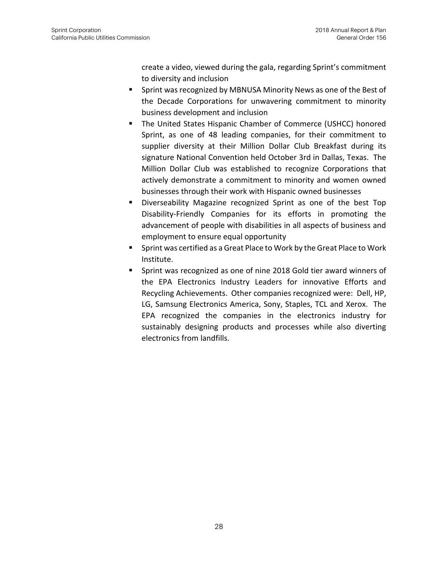create a video, viewed during the gala, regarding Sprint's commitment to diversity and inclusion

- Sprint was recognized by MBNUSA Minority News as one of the Best of the Decade Corporations for unwavering commitment to minority business development and inclusion
- The United States Hispanic Chamber of Commerce (USHCC) honored Sprint, as one of 48 leading companies, for their commitment to supplier diversity at their Million Dollar Club Breakfast during its signature National Convention held October 3rd in Dallas, Texas. The Million Dollar Club was established to recognize Corporations that actively demonstrate a commitment to minority and women owned businesses through their work with Hispanic owned businesses
- Diverseability Magazine recognized Sprint as one of the best Top Disability-Friendly Companies for its efforts in promoting the advancement of people with disabilities in all aspects of business and employment to ensure equal opportunity
- Sprint was certified as a Great Place to Work by the Great Place to Work Institute.
- Sprint was recognized as one of nine 2018 Gold tier award winners of the EPA Electronics Industry Leaders for innovative Efforts and Recycling Achievements. Other companies recognized were: Dell, HP, LG, Samsung Electronics America, Sony, Staples, TCL and Xerox. The EPA recognized the companies in the electronics industry for sustainably designing products and processes while also diverting electronics from landfills.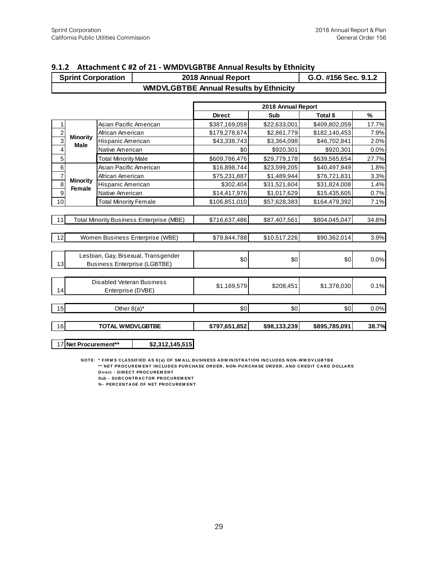|                | <b>Sprint Corporation</b> |                                                |                                                                            | 2018 Annual Report                            |                    | G.O. #156 Sec. 9.1.2 |       |
|----------------|---------------------------|------------------------------------------------|----------------------------------------------------------------------------|-----------------------------------------------|--------------------|----------------------|-------|
|                |                           |                                                |                                                                            | <b>WMDVLGBTBE Annual Results by Ethnicity</b> |                    |                      |       |
|                |                           |                                                |                                                                            |                                               | 2018 Annual Report |                      |       |
|                |                           |                                                |                                                                            | <b>Direct</b>                                 | Sub                | Total \$             | $\%$  |
| 1              |                           | Asian Pacific American                         |                                                                            | \$387,169,059                                 | \$22,633,001       | \$409,802,059        | 17.7% |
| $\overline{c}$ |                           | African American                               |                                                                            | \$179,278,674                                 | \$2,861,779        | \$182,140,453        | 7.9%  |
| $\overline{3}$ | <b>Minority</b>           | Hispanic American                              |                                                                            | \$43,338,743                                  | \$3,364,098        | \$46,702,841         | 2.0%  |
| $\overline{4}$ | <b>Male</b>               | Native American                                |                                                                            | \$0                                           | \$920,301          | \$920,301            | 0.0%  |
| 5              |                           | <b>Total Minority Male</b>                     |                                                                            | \$609,786,476                                 | \$29,779,178       | \$639,565,654        | 27.7% |
| 6              |                           | Asian Pacific American                         |                                                                            | \$16,898,744                                  | \$23,599,205       | \$40,497,949         | 1.8%  |
| $\overline{7}$ |                           | African American                               |                                                                            | \$75,231,887                                  | \$1,489,944        | \$76,721,831         | 3.3%  |
| 8              | <b>Minority</b>           | Hispanic American                              |                                                                            | \$302,404                                     | \$31,521,604       | \$31,824,008         | 1.4%  |
| 9              | <b>Female</b>             | Native American                                |                                                                            | \$14,417,976                                  | \$1,017,629        | \$15,435,605         | 0.7%  |
| 10             |                           | <b>Total Minority Female</b>                   |                                                                            | \$106,851,010                                 | \$57,628,383       | \$164,479,392        | 7.1%  |
|                |                           |                                                |                                                                            |                                               |                    |                      |       |
| 11             |                           |                                                | Total Minority Business Enterprise (MBE)                                   | \$716,637,486                                 | \$87,407,561       | \$804,045,047        | 34.8% |
| 12             |                           |                                                | Women Business Enterprise (WBE)                                            | \$79,844,788                                  | \$10,517,226       | \$90,362,014         | 3.9%  |
| 13             |                           |                                                | Lesbian, Gay, Bisexual, Transgender<br><b>Business Enterprise (LGBTBE)</b> | \$0                                           | \$0                | \$0                  | 0.0%  |
| 14             |                           | Disabled Veteran Business<br>Enterprise (DVBE) |                                                                            | \$1,169,579                                   | \$208,451          | \$1,378,030          | 0.1%  |
| 15             |                           | Other $8(a)^*$                                 |                                                                            | \$0                                           | \$0                | \$0                  | 0.0%  |
| 16             |                           | <b>TOTAL WMDVLGBTBE</b>                        |                                                                            | \$797,651,852                                 | \$98,133,239       | \$895,785,091        | 38.7% |
|                | 17 Net Procurement**      |                                                | \$2,312,145,515                                                            |                                               |                    |                      |       |

#### **9.1.2 Attachment C #2 of 21 - WMDVLGBTBE Annual Results by Ethnicity**

**N OCUREMENT FIRM S CLASSIFIED AS 8 (a) OF SM ALL BUSINESS ADM INISTRATION INCLUDES NON-WIM DVLGBTBE**<br>NOTE: \* FIRM S CLASSIFIED AS 8 (a) OF SM ALL BUSINESS ADM INISTRATION INCLUDES NON-WIM DVLGBTBE<br>\*\* NET PROCUPEMENT INCLU

\*\* NET PROCUREM ENT INCLUDES PURCHASE ORDER, NON-PURCHASE ORDER, AND CREDIT CARD DOLLARS<br>Direct - DIRECT PROCUREM ENT \* FIRMS CLASSIFIED AS 8(a) OF<br>\*\* NET PROCUREMENT INCLUDE<br>Direct - DIRECT PROCUREMENT<br>Sub - SURCONTRACTOR PROCU \* FIRMS CLASSIFIED AS 8(a) OF SMALL E<br>\*\* NET PROCUREMENT INCLUDES PURC<del>I</del><br>Direct - DIRECT PROCUREMENT<br>Sub - SUBCONTRACTOR PROCUREMENT<br>% - PERCENTAGE OF NET PROCUREMENT \*\* NET PROCUREM ENT INCLUDES PURCH,<br>Direct - DIRECT PROCUREM ENT<br>Sub - SUBCONTRACTOR PROCUREM ENT<br>% - PERCENTAGE OF NET PROCUREM ENT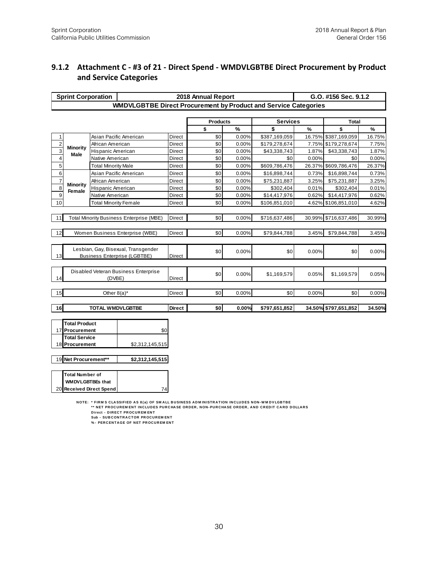#### **9.1.2 Attachment C - #3 of 21 - Direct Spend - WMDVLGBTBE Direct Procurement by Product and Service Categories**

| <b>Sprint Corporation</b>         |                                                  |                                                                                                                                                                                      |               | 2018 Annual Report |       |                 |        | G.O. #156 Sec. 9.1.2 |        |
|-----------------------------------|--------------------------------------------------|--------------------------------------------------------------------------------------------------------------------------------------------------------------------------------------|---------------|--------------------|-------|-----------------|--------|----------------------|--------|
|                                   |                                                  | <b>WMDVLGBTBE Direct Procurement by Product and Service Categories</b>                                                                                                               |               |                    |       |                 |        |                      |        |
|                                   |                                                  |                                                                                                                                                                                      |               |                    |       |                 |        |                      |        |
|                                   |                                                  |                                                                                                                                                                                      |               | <b>Products</b>    |       | <b>Services</b> |        | <b>Total</b>         |        |
|                                   |                                                  |                                                                                                                                                                                      |               | \$                 | %     | \$              | $\%$   | \$                   | %      |
| 1                                 |                                                  | Asian Pacific American                                                                                                                                                               | Direct        | \$0                | 0.00% | \$387,169,059   | 16.75% | \$387,169,059        | 16.75% |
| $\overline{c}$<br><b>Minority</b> | African American                                 |                                                                                                                                                                                      | <b>Direct</b> | \$0                | 0.00% | \$179,278,674   | 7.75%  | \$179,278,674        | 7.75%  |
| $\overline{3}$<br>Male            | Hispanic American                                |                                                                                                                                                                                      | Direct        | \$0                | 0.00% | \$43,338,743    | 1.87%  | \$43,338,743         | 1.87%  |
| $\overline{\mathbf{4}}$           | Native American                                  |                                                                                                                                                                                      | Direct        | \$0                | 0.00% | \$0             | 0.00%  | \$0                  | 0.00%  |
| 5                                 | <b>Total Minority Male</b>                       |                                                                                                                                                                                      | <b>Direct</b> | \$0                | 0.00% | \$609,786,476   | 26.37% | \$609,786,476        | 26.37% |
| 6                                 |                                                  | Asian Pacific American                                                                                                                                                               | Direct        | \$0                | 0.00% | \$16,898,744    | 0.73%  | \$16,898,744         | 0.73%  |
| $\overline{7}$<br>Minority        | African American                                 |                                                                                                                                                                                      | Direct        | \$0                | 0.00% | \$75,231,887    | 3.25%  | \$75,231,887         | 3.25%  |
| 8<br>Female                       | Hispanic American                                |                                                                                                                                                                                      | Direct        | \$0                | 0.00% | \$302,404       | 0.01%  | \$302,404            | 0.01%  |
| 9                                 | Native American                                  |                                                                                                                                                                                      | Direct        | \$0                | 0.00% | \$14,417,976    | 0.62%  | \$14,417,976         | 0.62%  |
| 10                                | <b>Total Minority Female</b>                     |                                                                                                                                                                                      | <b>Direct</b> | \$0                | 0.00% | \$106,851,010   | 4.62%  | \$106,851,010        | 4.62%  |
|                                   |                                                  |                                                                                                                                                                                      |               |                    |       |                 |        |                      |        |
| 11                                |                                                  | <b>Total Minority Business Enterprise (MBE)</b>                                                                                                                                      | <b>Direct</b> | \$0                | 0.00% | \$716,637,486   | 30.99% | \$716,637,486        | 30.99% |
|                                   |                                                  |                                                                                                                                                                                      |               |                    |       |                 |        |                      |        |
| 12                                | <b>Direct</b><br>Women Business Enterprise (WBE) |                                                                                                                                                                                      |               | \$0                | 0.00% | \$79,844,788    | 3.45%  | \$79,844,788         | 3.45%  |
|                                   |                                                  |                                                                                                                                                                                      |               |                    |       |                 |        |                      |        |
|                                   |                                                  | Lesbian, Gay, Bisexual, Transgender                                                                                                                                                  |               | \$0                | 0.00% | \$0             | 0.00%  | \$0                  | 0.00%  |
| 13                                |                                                  | <b>Business Enterprise (LGBTBE)</b>                                                                                                                                                  | <b>Direct</b> |                    |       |                 |        |                      |        |
|                                   |                                                  |                                                                                                                                                                                      |               |                    |       |                 |        |                      |        |
|                                   |                                                  | Disabled Veteran Business Enterprise                                                                                                                                                 |               | \$0                | 0.00% | \$1,169,579     | 0.05%  | \$1,169,579          | 0.05%  |
| 14                                | (DVBE)                                           |                                                                                                                                                                                      | <b>Direct</b> |                    |       |                 |        |                      |        |
|                                   |                                                  |                                                                                                                                                                                      |               |                    |       |                 |        |                      |        |
| 15                                | Other $8(a)^*$                                   |                                                                                                                                                                                      | <b>Direct</b> | \$0                | 0.00% | \$0             | 0.00%  | \$0                  | 0.00%  |
|                                   |                                                  |                                                                                                                                                                                      |               |                    |       |                 |        |                      |        |
| 16                                | <b>TOTAL WMDVLGBTBE</b>                          |                                                                                                                                                                                      | <b>Direct</b> | \$0                | 0.00% | \$797,651,852   |        | 34.50% \$797,651,852 | 34.50% |
|                                   |                                                  |                                                                                                                                                                                      |               |                    |       |                 |        |                      |        |
| <b>Total Product</b>              |                                                  |                                                                                                                                                                                      |               |                    |       |                 |        |                      |        |
| 17 Procurement                    |                                                  | \$0                                                                                                                                                                                  |               |                    |       |                 |        |                      |        |
| <b>Total Service</b>              |                                                  |                                                                                                                                                                                      |               |                    |       |                 |        |                      |        |
| 18 Procurement                    |                                                  | \$2,312,145,515                                                                                                                                                                      |               |                    |       |                 |        |                      |        |
|                                   |                                                  |                                                                                                                                                                                      |               |                    |       |                 |        |                      |        |
| 19 Net Procurement**              |                                                  | \$2,312,145,515                                                                                                                                                                      |               |                    |       |                 |        |                      |        |
|                                   |                                                  |                                                                                                                                                                                      |               |                    |       |                 |        |                      |        |
| <b>Total Number of</b>            |                                                  |                                                                                                                                                                                      |               |                    |       |                 |        |                      |        |
| <b>WMDVLGBTBEs that</b>           |                                                  |                                                                                                                                                                                      |               |                    |       |                 |        |                      |        |
| 20 Received Direct Spend          |                                                  | 74                                                                                                                                                                                   |               |                    |       |                 |        |                      |        |
|                                   |                                                  |                                                                                                                                                                                      |               |                    |       |                 |        |                      |        |
|                                   |                                                  | NOTE: * FIRMS CLASSIFIED AS 8(a) OF SMALL BUSINESS ADMINISTRATION INCLUDES NON-WMDVLGBTBE<br>** NET PROCUREMENT INCLUDES PURCHASE ORDER, NON-PURCHASE ORDER, AND CREDIT CARD DOLLARS |               |                    |       |                 |        |                      |        |
|                                   |                                                  | Direct - DIRECT PROCUREM ENT                                                                                                                                                         |               |                    |       |                 |        |                      |        |
|                                   |                                                  | Sub - SUBCONTRACTOR PROCUREMENT                                                                                                                                                      |               |                    |       |                 |        |                      |        |

\* FIRM S CLASSIFIED AS 8(a) OF SMALL B<br>\*\* NET PROCUREMENT INCLUDES PURCH<br>Direct - DIRECT PROCUREMENT<br>Sub - SUBCONTRACTOR PROCUREMENT<br>% - PERCENTAGE OF NET PROCUREMENT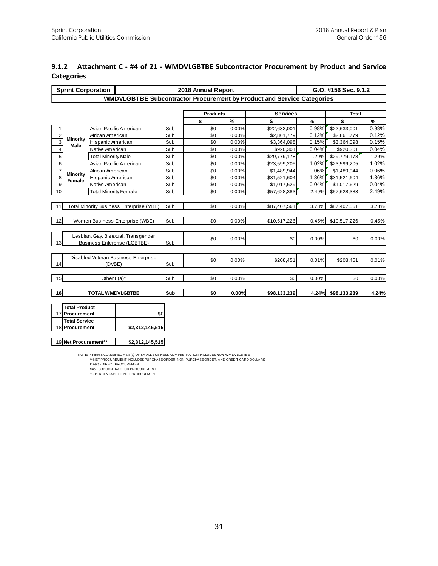#### **9.1.2 Attachment C - #4 of 21 - WMDVLGBTBE Subcontractor Procurement by Product and Service Categories**

|                  | <b>Sprint Corporation</b>                                                                                                                                                                                                                                                                                                                        |                                                                            | G.O. #156 Sec. 9.1.2<br>2018 Annual Report<br>WMDVLGBTBE Subcontractor Procurement by Product and Service Categories |            |                 |       |                 |       |              |       |  |  |  |
|------------------|--------------------------------------------------------------------------------------------------------------------------------------------------------------------------------------------------------------------------------------------------------------------------------------------------------------------------------------------------|----------------------------------------------------------------------------|----------------------------------------------------------------------------------------------------------------------|------------|-----------------|-------|-----------------|-------|--------------|-------|--|--|--|
|                  |                                                                                                                                                                                                                                                                                                                                                  |                                                                            |                                                                                                                      |            |                 |       |                 |       |              |       |  |  |  |
|                  |                                                                                                                                                                                                                                                                                                                                                  |                                                                            |                                                                                                                      |            |                 |       |                 |       |              |       |  |  |  |
|                  |                                                                                                                                                                                                                                                                                                                                                  |                                                                            |                                                                                                                      |            | <b>Products</b> |       | <b>Services</b> |       | <b>Total</b> |       |  |  |  |
|                  |                                                                                                                                                                                                                                                                                                                                                  |                                                                            |                                                                                                                      |            | \$              | $\%$  | \$              | $\%$  | \$           | $\%$  |  |  |  |
| 1                |                                                                                                                                                                                                                                                                                                                                                  |                                                                            | Asian Pacific American                                                                                               | Sub        | \$0             | 0.00% | \$22,633,001    | 0.98% | \$22,633,001 | 0.98% |  |  |  |
| $\overline{2}$   | <b>Minority</b>                                                                                                                                                                                                                                                                                                                                  | African American                                                           |                                                                                                                      | Sub        | \$0             | 0.00% | \$2,861,779     | 0.12% | \$2,861,779  | 0.12% |  |  |  |
| $\overline{3}$   | Male                                                                                                                                                                                                                                                                                                                                             | Hispanic American                                                          |                                                                                                                      | Sub<br>Sub | \$0             | 0.00% | \$3,364,098     | 0.15% | \$3,364,098  | 0.15% |  |  |  |
| $\overline{4}$   |                                                                                                                                                                                                                                                                                                                                                  |                                                                            | Native American                                                                                                      |            | \$0             | 0.00% | \$920,301       | 0.04% | \$920,301    | 0.04% |  |  |  |
| 5                |                                                                                                                                                                                                                                                                                                                                                  |                                                                            | <b>Total Minority Male</b>                                                                                           |            | \$0             | 0.00% | \$29,779,178    | 1.29% | \$29,779,178 | 1.29% |  |  |  |
| 6                |                                                                                                                                                                                                                                                                                                                                                  |                                                                            | Asian Pacific American                                                                                               |            | \$0             | 0.00% | \$23,599,205    | 1.02% | \$23,599,205 | 1.02% |  |  |  |
| $\overline{7}$   | <b>Minority</b>                                                                                                                                                                                                                                                                                                                                  |                                                                            | African American                                                                                                     |            | \$0             | 0.00% | \$1,489,944     | 0.06% | \$1,489,944  | 0.06% |  |  |  |
| 8                | Female                                                                                                                                                                                                                                                                                                                                           |                                                                            | Hispanic American                                                                                                    |            | \$0             | 0.00% | \$31,521,604    | 1.36% | \$31,521,604 | 1.36% |  |  |  |
| $\boldsymbol{9}$ |                                                                                                                                                                                                                                                                                                                                                  | Native American                                                            |                                                                                                                      | Sub        | \$0             | 0.00% | \$1,017,629     | 0.04% | \$1,017,629  | 0.04% |  |  |  |
| 10               |                                                                                                                                                                                                                                                                                                                                                  | <b>Total Minority Female</b>                                               |                                                                                                                      | Sub        | \$0             | 0.00% | \$57,628,383    | 2.49% | \$57,628,383 | 2.49% |  |  |  |
| 11               |                                                                                                                                                                                                                                                                                                                                                  |                                                                            | <b>Total Minority Business Enterprise (MBE)</b>                                                                      | Sub        | \$0             | 0.00% | \$87,407,561    | 3.78% | \$87,407,561 | 3.78% |  |  |  |
|                  |                                                                                                                                                                                                                                                                                                                                                  |                                                                            |                                                                                                                      |            |                 |       |                 |       |              |       |  |  |  |
| 12               |                                                                                                                                                                                                                                                                                                                                                  |                                                                            | Women Business Enterprise (WBE)                                                                                      | Sub        | \$0             | 0.00% | \$10,517,226    | 0.45% | \$10,517,226 | 0.45% |  |  |  |
| 13               |                                                                                                                                                                                                                                                                                                                                                  | Lesbian, Gay, Bisexual, Transgender<br><b>Business Enterprise (LGBTBE)</b> |                                                                                                                      |            | \$0             | 0.00% | \$0             | 0.00% | \$0          | 0.00% |  |  |  |
| 14               |                                                                                                                                                                                                                                                                                                                                                  | (DVBE)                                                                     | Disabled Veteran Business Enterprise                                                                                 | Sub        | \$0             | 0.00% | \$208,451       | 0.01% | \$208,451    | 0.01% |  |  |  |
| 15               |                                                                                                                                                                                                                                                                                                                                                  | Other $8(a)^*$                                                             |                                                                                                                      | Sub        | \$0             | 0.00% | \$0             | 0.00% | \$0          | 0.00% |  |  |  |
|                  |                                                                                                                                                                                                                                                                                                                                                  |                                                                            |                                                                                                                      |            |                 |       |                 |       |              |       |  |  |  |
| 16               |                                                                                                                                                                                                                                                                                                                                                  | <b>TOTAL WMDVLGBTBE</b>                                                    |                                                                                                                      | Sub        | \$0             | 0.00% | \$98,133,239    | 4.24% | \$98,133,239 | 4.24% |  |  |  |
| 17               | <b>Total Product</b><br>Procurement<br><b>Total Service</b><br>18 Procurement                                                                                                                                                                                                                                                                    |                                                                            | \$0<br>\$2,312,145,515                                                                                               |            |                 |       |                 |       |              |       |  |  |  |
|                  | Net Procurement**<br>19<br>\$2,312,145,515<br>NOTE: * FIRM S CLASSIFIED AS 8(a) OF SM ALL BUSINESS ADM INISTRATION INCLUDES NON-WM DVLGBTBE<br>** NET PROCUREM ENT INCLUDES PURCHASE ORDER, NON-PURCHASE ORDER, AND CREDIT CARD DOLLARS<br>Direct - DIRECT PROCUREM ENT<br>Sub - SUBCONTRACTOR PROCUREM ENT<br>%- PERCENTAGE OF NET PROCUREM ENT |                                                                            |                                                                                                                      |            |                 |       |                 |       |              |       |  |  |  |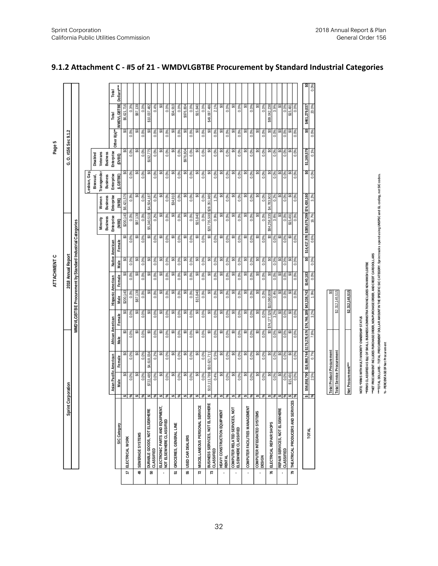| Asian Pacific American<br>\$722,485<br>ິ<br>0.0%<br>0.0%<br>Male<br>Corporation<br><b>\$</b><br>%<br>\$<br>\$<br>Sprint<br>DURABLE GOODS, NOT ELSEWHERE<br>SIC Category<br>SEWERAGE SYSTEMS<br>ELECTRICAL WORK<br>49<br>50<br>17 | Male<br>ິ<br>0.0%<br>ಧ<br>Female                     | WMDVLGBTBE Procurement by Standard Industrial Categories |                          | 2018 Annual Report |               |                 |                                         |                          |                                |                             | G. O. #156 Sec 9.1.2     |                   |             |
|----------------------------------------------------------------------------------------------------------------------------------------------------------------------------------------------------------------------------------|------------------------------------------------------|----------------------------------------------------------|--------------------------|--------------------|---------------|-----------------|-----------------------------------------|--------------------------|--------------------------------|-----------------------------|--------------------------|-------------------|-------------|
|                                                                                                                                                                                                                                  |                                                      |                                                          |                          |                    |               |                 |                                         |                          |                                |                             |                          |                   |             |
|                                                                                                                                                                                                                                  |                                                      |                                                          |                          |                    |               |                 |                                         |                          |                                |                             |                          |                   |             |
|                                                                                                                                                                                                                                  |                                                      |                                                          |                          |                    |               |                 |                                         |                          |                                |                             |                          |                   |             |
|                                                                                                                                                                                                                                  |                                                      |                                                          |                          |                    |               |                 |                                         |                          | .esbian, Gay                   |                             |                          |                   |             |
|                                                                                                                                                                                                                                  |                                                      |                                                          |                          |                    |               |                 |                                         |                          | Bisexual,                      | Disabled                    |                          |                   |             |
|                                                                                                                                                                                                                                  |                                                      |                                                          |                          |                    |               |                 | <b>Business</b><br>Minority             | <b>Business</b><br>Women | Transgender<br><b>Business</b> | Veterans<br><b>Business</b> |                          |                   |             |
|                                                                                                                                                                                                                                  |                                                      | African American                                         | <b>Hispanic American</b> |                    |               | Native American | Enterprise                              | <b>Enterprise</b>        | Enterprise                     | Enterprise                  |                          | Total             | Total       |
|                                                                                                                                                                                                                                  |                                                      | Female                                                   | Male                     | Female             | Male          | Female          | (MBE)                                   | (WBE)                    | (LGBTBE)                       | (DVBE)                      | Other 8(a) <sup>**</sup> | <b>WMDVLGBTBE</b> | Dollars**** |
|                                                                                                                                                                                                                                  |                                                      | ຊ                                                        | \$200,140                |                    | ಧ             | ຊ               | \$200,140                               | \$6,421,576              | ຊ                              | Ձ                           | Ձ                        | \$6,621,716       |             |
|                                                                                                                                                                                                                                  |                                                      | 0.0%<br>0.0%                                             | 0.0%                     | 0.0%               | 0.0%          | 0.0%            | $0.0\%$                                 | 0.3%                     | 0.0%                           | 0.0%                        | 0.0%                     | 0.3%              |             |
|                                                                                                                                                                                                                                  |                                                      | ္တ<br>ౚ                                                  | \$87,139                 | ౚ                  | အ             | g               | \$87,139                                | ຊ                        | ஃ                              | Z                           | Ձ                        | \$87,139          |             |
|                                                                                                                                                                                                                                  | 0.0%                                                 | 0.0%<br>0.0%                                             | 0.0%                     | 0.0%               | 0.0%          | 0.0%            | $0.0\%$                                 | 0.0%                     | 0.0%                           | 0.0%                        | 0.0%                     | 0.0%              |             |
|                                                                                                                                                                                                                                  | \$4,618,034                                          | ္တ<br>ౢ                                                  | Ձ                        | ౢ                  | g             | ິ               | \$5,340,519                             | \$4,504,187              | ୡ                              | \$192,775                   | ஃ                        | \$10,037,482      |             |
| 0.0%<br>వి<br>CLASSIFIED                                                                                                                                                                                                         | 0.2%                                                 | 0.0%<br>0.0%                                             | 0.0%                     | 0.0%               | 0.0%          | 0.0%            | 0.2%                                    | 0.2%                     | 0.0%                           | 0.0%                        | 0.0%                     | 0.4%              |             |
| ္တ<br>\$<br>ELECTRONIC PARTS AND EQUIPMENT,                                                                                                                                                                                      | ఞ                                                    | ္တ<br>ິ                                                  | Ձ                        | ౚ                  | ఞ             | အ               | ఞ                                       | ຊ                        | ஃ                              | ຊ                           | த                        | ౢ                 |             |
| 0.0%<br>వి<br>NOT ELSEWHERE CLASSIFIED<br>í.                                                                                                                                                                                     | 0.0%                                                 | 0.0%<br>0.0%                                             | 0.0%                     | 0.0%               | 0.0%          | 0.0%            | 0.0%                                    | 0.0%                     | 0.0%                           | 0.0%                        | 0.0%                     | 0.0%              |             |
| ິ<br>GROCERIES, GENERAL LINE<br>55                                                                                                                                                                                               | ິ                                                    | ္တ<br>ິ                                                  | B                        | ິ                  | ິ             | g               | ဌ                                       | \$34,910                 | B                              | B                           | ஃ                        | \$34,910          |             |
| 0.0%<br>\$ \$                                                                                                                                                                                                                    | 0.0%                                                 | 0.0%<br>0.0%                                             | 0.0%                     | 0.0%               | $0.0\%$       | 0.0%            | $0.0\%$                                 | 0.0%                     | 0.0%                           | 0.0%                        | 0.0%                     | 0.0%              |             |
| ິ<br>$\bullet$<br>USED CAR DEALERS<br>55                                                                                                                                                                                         | ఢ                                                    | င္တ<br>္တ                                                | g                        | င္တ                | န္တ           | ఢ               | ္တ                                      | ິ                        | த                              | \$976,804                   | Ձ                        | \$976,804         |             |
| 0.0%<br>$\frac{5}{6}$                                                                                                                                                                                                            | 0.0%                                                 | 0.0%<br>0.0%                                             | 0.0%                     | 0.0%               | 0.0%          | 0.0%            | 0.0%                                    | 0.0%                     | 0.0%                           | 0.0%                        | 0.0%                     | 0.0%              |             |
| ິ<br>$\bullet$<br>MISCELLANEOUS PERSONAL SERVICE<br>$\overline{72}$                                                                                                                                                              | ఞ                                                    | ິ<br>ິ                                                   | \$15,840                 | ິ                  | ఞ             | ິ               | \$15,840                                | ຊ                        | Ձ                              | S                           | g                        | \$15,840          |             |
| 0.0%<br>వి                                                                                                                                                                                                                       | 0.0%                                                 | 0.0%<br>0.0%                                             | 0.0%                     | 0.0%               | 0.0%          | 0.0%            | 0.0%                                    | 0.0%                     | 0.0%                           | 0.0%                        | 0.0%                     | 0.0%              |             |
| \$10,113,789<br>\$<br>\$<br>BUSINESS SERVICES, NOT ELSEW HERE<br>$\overline{r}$                                                                                                                                                  | \$10,621,711                                         | ္တ<br>္တ                                                 | த                        | ္တ                 | ္တ            | ఢ               | \$20,735,500                            | \$28,351,985             | B                              | த                           | Ձ                        | \$49,087,486      |             |
| 0.4%<br>CLASSIFIED                                                                                                                                                                                                               | 0.5%                                                 | 0.0%<br>0.0%                                             | 0.0%                     | 0.0%               | 0.0%          | 0.0%            | 0.9%                                    | 1.2%                     | 0.0%                           | 0.0%                        | 0.0%                     | 2.1%              |             |
| ္တ<br>$\frac{2}{3}$<br><b>HEAVY CONSTRUCTION EQUIPMENT</b><br>ï                                                                                                                                                                  | ္တ                                                   | ္တ<br>္တ                                                 | ຊ                        | ິ                  | ္တ            | ິ               | အ                                       | ິ                        | Ձ                              | ຊ                           | த                        | ္တ                |             |
| 0.0%<br><b>RENTAL</b>                                                                                                                                                                                                            | 0.0%                                                 | 0.0%<br>0.0%                                             | 0.0%                     | 0.0%               | 0.0%          | 0.0%            | 0.0%                                    | 0.0%                     | 0.0%                           | 0.0%                        | 0.0%                     | 0.0%              |             |
| ິ<br>$\bullet$<br>COMPUTER RELATED SERVICES, NOT                                                                                                                                                                                 | ఞ                                                    | ္တ<br>္တ                                                 | Ձ                        | ္တ                 | ఞ             | ິ               | ఞ                                       | ິ                        | Ձ                              | ᆶ                           | Ձ                        | ౢ                 |             |
| 0.0%<br>వి<br>ELSEWHERE CLASSIFIED                                                                                                                                                                                               | 0.0%                                                 | 0.0%<br>0.0%                                             | 0.0%                     | 0.0%               | 0.0%          | 0.0%            | 0.0%                                    | 0.0%                     | 0.0%                           | 0.0%                        | 0.0%                     | 0.0%              |             |
| ິ<br>\$<br>COMPUTER FACILITIES MANAGEMENT                                                                                                                                                                                        | အ                                                    | င္တ<br>င္တ                                               | ₷                        | ఞ                  | ఢ             | g               | ဌ                                       | ິ                        | ₷                              | ₷                           | ଌ                        | ္တ                |             |
| 0.0%<br>వి                                                                                                                                                                                                                       | 0.0%                                                 | 0.0%<br>0.0%                                             | 0.0%                     | 0.0%               | 0.0%          | 0.0%            | 0.0%                                    | 0.0%                     | 0.0%                           | 0.0%                        | 0.0%                     | 0.0%              |             |
| ິ<br>\$<br>COMPUTER INTEGRATED SYSTEMS<br>Î,                                                                                                                                                                                     | ິ                                                    | ္တ<br>္တ                                                 | ຊ                        | ္တ                 | ္တ            | ິ               | အ                                       | ິ                        | ஃ                              | ຊ                           | ஃ                        | ິ                 |             |
| 0.0%<br>వి<br><b>DESIGN</b>                                                                                                                                                                                                      | $0.0\%$                                              | 0.0%<br>0.0%                                             | $0.0\%$                  | 0.0%               | $0.0\%$       | 0.0%            | 0.0%                                    | 0.0%                     | $0.0\%$                        | $0.0\%$                     | $0.0\%$                  | 0.0%              |             |
| ఞ<br>ELECTRICAL REPAIR SHOPS<br>76                                                                                                                                                                                               | ఞ                                                    | \$74,177,526<br>\$Q                                      | \$10,080,809             | င္တ                | ఞ             | ္တ              | \$84,258,335                            | 783,903<br>क्रं          | ଌ                              | ଌ                           | ଌ                        | \$89,042,238      |             |
| 0.0%<br>क¦रू                                                                                                                                                                                                                     | 0.0%                                                 | 3.2%<br>0.0%                                             | 0.4%                     | 0.0%               | 0.0%          | 0.0%            | 3.6%                                    | $0.2\%$                  | 0.0%                           | 0.0%                        | 0.0%                     | 3.9%              |             |
| ິ<br>↮<br><b>REPAIR SERVICES, NOT ELSEWHERE</b><br>CLASSIFIED                                                                                                                                                                    | အ                                                    | ິ<br>္တ                                                  | ℬ                        | ິສ                 | ິສ            | ಧ               | ౚ                                       | မ္က                      | g                              | ℬ                           | ຊ                        | မ္က               |             |
| 0.0%                                                                                                                                                                                                                             | $0.0\%$                                              | 0.0%<br>0.0%                                             | 0.0%                     | 0.0%               | $0.0\%$       | 0.0%            | 0.0%                                    | $0.0\%$                  | 0.0%                           | 0.0%                        | $0.0\%$                  | 0.0%              |             |
| \$15,491<br>ఱ ৯<br>ကူ<br>THEATRICAL PRODUCERS AND SERVICE<br>$\overline{r}$                                                                                                                                                      | န္တ                                                  | င္တ<br>္တ                                                | Ձ                        | ္တ                 | ິ             | ິ               | \$15,491                                | ຊ                        | Ձ                              | Ձ                           | န္တ                      | \$15,491          |             |
| $0.0\%$                                                                                                                                                                                                                          | 0.0%                                                 | 0.0%<br>0.0%                                             | 0.0%                     | 0.0%               | 0.0%          | 0.0%            | $0.0\%$                                 | 0.0%                     | 0.0%                           | 0.0%                        | 0.0%                     | 0.0%              |             |
| \$56,858,790                                                                                                                                                                                                                     | \$16,898,744 \$179,278,674 \$74,746,189 \$43,338,743 |                                                          |                          | \$140,183          | $\frac{1}{2}$ |                 | \$14,417,976 \$385,679,299 \$74,430,160 |                          | ສ                              | \$1,169,579                 | ຂ                        | \$461,279,037     | \$0         |
| 5%<br>\$<br>%<br><b>TOTAL</b>                                                                                                                                                                                                    | 0.7%                                                 | 3.2%<br>7.8%                                             | $\frac{8}{20}$           | $0.0\%$            | 0.0%          | 0.6%            | 16.7%                                   | 3.2%                     | 0.0%                           | 0.1%                        | 0.0%                     | 20.0%             | 0.0%        |

#### **9.1.2 Attachment C - #5 of 21 - WMDVLGBTBE Procurement by Standard Industrial Categories**

| <b>Total Product Procurement</b> | ຂ               |
|----------------------------------|-----------------|
| <b>Total Service Procurement</b> | \$2.312.145.515 |
|                                  |                 |
| Net Procurement***               | \$2,312,145,515 |
|                                  |                 |
|                                  |                 |

NOTE \*FIRMS WITH MULTI MINORITY OWNERSHP STATUS

**NOTE: \*FIRMS WITH MULTI MINORITY OWNERSHIP STATUS**

**\*\*FIRMS CLASSIFIED AS 8(a) OF SMALL BUSINESS ADMINISTRATION INCLUDES NON-WMDVLGBTBE**

**\*\*\*NET PROCUREMENT INCLUDES PURCHASE ORDER, NON-PURCHASE ORDER, AND CREDIT CARD DOLLARS**

"FIRMS CLASSIED AS 8(a) OF SMALL BUSINESS ADMINISTRATION INCLUDES NON-WIM DV. GETRE<br>""NET PROCURBILSIT INCLUDES PJRCHASE ORDER NON-PJRCHASE GRDER, AMD CREDIT CARD DOLLARS<br>""TOTAL DOLLARS - TOTAL PROCURBILEIT DOLLAR AMOUNT **\*\*\*TOTAL DOLLARS - TOTAL PROCUREMENT DOLLAR AMOUNT IN THE SPECIFIC SIC CATEGORY. Sprint tracks spend using UNSPSC and GL coding, not SIC codes.** 

**% - PERCENTAGE OF Net Procurement**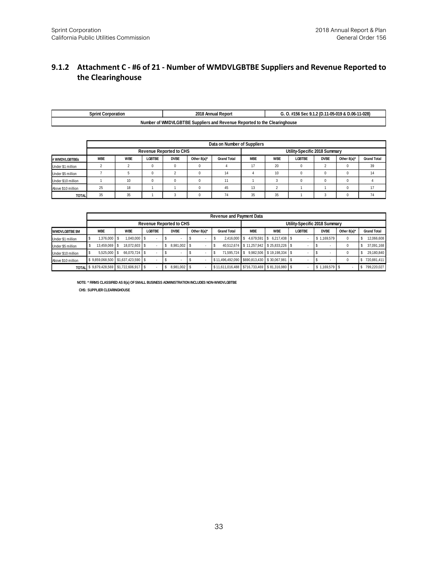#### **9.1.2 Attachment C - #6 of 21 - Number of WMDVLGBTBE Suppliers and Revenue Reported to the Clearinghouse**

| <b>Sprint Corporation</b> | 2018 Annual Report                                                       | . #156 Sec 9.1.2 (D.11-05-019 & D.06-11-028) |
|---------------------------|--------------------------------------------------------------------------|----------------------------------------------|
|                           | Number of WMDVLGBTBE Suppliers and Revenue Reported to the Clearinghouse |                                              |

|                    |            |            |          |                                |             | Data on Number of Suppliers |            |            |                               |             |                |                    |
|--------------------|------------|------------|----------|--------------------------------|-------------|-----------------------------|------------|------------|-------------------------------|-------------|----------------|--------------------|
|                    |            |            |          | <b>Revenue Reported to CHS</b> |             |                             |            |            | Utility-Specific 2018 Summary |             |                |                    |
| # WMDVLGBTBEs      | <b>MBE</b> | <b>WBE</b> | LGBTBE   | <b>DVBE</b>                    | Other 8(a)* | <b>Grand Total</b>          | <b>MBE</b> | <b>WBE</b> | <b>LGBTBE</b>                 | <b>DVBE</b> | Other $8(a)^*$ | <b>Grand Total</b> |
| Under \$1 million  |            |            | $\Omega$ |                                |             |                             | 17         | 20         | 0                             |             |                | 39                 |
| Under \$5 million  |            |            | $\Omega$ |                                |             | 14                          |            | 10         | $\Omega$                      |             |                | 14                 |
| Under \$10 million |            | 10         | $\Omega$ |                                |             | 11                          |            |            | $\Omega$                      |             |                |                    |
| Above \$10 million | 25         | 18         |          |                                |             | 45                          | 13         |            |                               |             |                | 17                 |
| <b>TOTAL</b>       | 35         | 35         |          |                                |             | 74                          | 35         | 35         |                               |             |                | 74                 |

|                       |                 |                    |               |                                |                          | <b>Revenue and Payment Data</b> |            |                                                |                               |    |                          |             |                    |
|-----------------------|-----------------|--------------------|---------------|--------------------------------|--------------------------|---------------------------------|------------|------------------------------------------------|-------------------------------|----|--------------------------|-------------|--------------------|
|                       |                 |                    |               | <b>Revenue Reported to CHS</b> |                          |                                 |            |                                                | Utility-Specific 2018 Summary |    |                          |             |                    |
| <b>WMDVLGBTBE \$M</b> | <b>MBE</b>      | <b>WBE</b>         | <b>LGBTBE</b> | <b>DVBE</b>                    | Other 8(a)*              | <b>Grand Total</b>              | <b>MBE</b> | <b>WBE</b>                                     | LGBTBE                        |    | <b>DVBE</b>              | Other 8(a)* | <b>Grand Total</b> |
| Under \$1 million     | 1.376.000       | 1.040.000 \$       |               |                                |                          | 2.416.000                       | 4.679.591  | 6.217.438 \$<br>l S                            |                               | s. | 1.169.579                | 0           | 12,066,608         |
| Under \$5 million     | 13,459,069 S    | 18.072.603 \$      |               | 8.981.002 \$                   | ٠                        |                                 |            | 40.512.674 \$11.257.942 \$25.833.226 \$        |                               |    | $\overline{\phantom{a}}$ |             | 37,091,168         |
| Under \$10 million    | $5.525.000$ S   | 66.070.724 \$      | $\sim$        |                                | $\overline{\phantom{a}}$ | 71.595.724                      |            | 9,982,506 \$19,198,334 \$                      |                               |    | ٠                        |             | 29.180.840         |
| Above \$10 million    | \$9,859,068,500 | \$1,637,423,590 \$ |               |                                |                          |                                 |            | \$11,496,492,090 \$690,813,430 \$30,067,981 \$ |                               |    |                          |             | 720,881,411        |
| <b>TOTAL</b>          | \$9,879,428,569 | \$1,722,606,917 \$ |               | \$<br>8,981,002 \$             |                          |                                 |            | \$11.611.016.488 \$716.733.469 \$81.316.980 \$ |                               | s  | 1,169,579 \$             |             | 799,220,027        |
|                       |                 |                    |               |                                |                          |                                 |            |                                                |                               |    |                          |             |                    |

**NOTE: \* FIRMS CLASSIFIED AS 8(a) OF SMALL BUSINESS ADMINISTRATION INCLUDES NON-WMDVLGBTBE CHS: SUPPLIER CLEARINGHOUSE**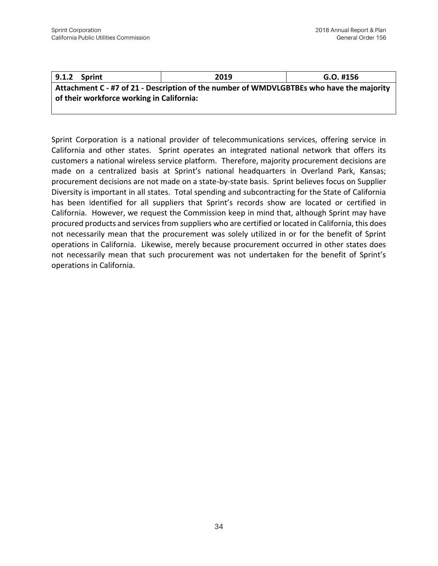| 9.1.2 Sprint                              | 2019                                                                                     | G.O. #156 |
|-------------------------------------------|------------------------------------------------------------------------------------------|-----------|
|                                           | Attachment C - #7 of 21 - Description of the number of WMDVLGBTBEs who have the majority |           |
| of their workforce working in California: |                                                                                          |           |

Sprint Corporation is a national provider of telecommunications services, offering service in California and other states. Sprint operates an integrated national network that offers its customers a national wireless service platform. Therefore, majority procurement decisions are made on a centralized basis at Sprint's national headquarters in Overland Park, Kansas; procurement decisions are not made on a state-by-state basis. Sprint believes focus on Supplier Diversity is important in all states. Total spending and subcontracting for the State of California has been identified for all suppliers that Sprint's records show are located or certified in California. However, we request the Commission keep in mind that, although Sprint may have procured products and services from suppliers who are certified or located in California, this does not necessarily mean that the procurement was solely utilized in or for the benefit of Sprint operations in California. Likewise, merely because procurement occurred in other states does not necessarily mean that such procurement was not undertaken for the benefit of Sprint's operations in California.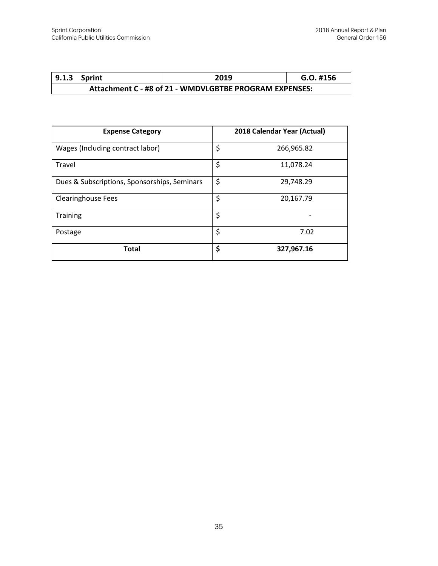|                                                        | 9.1.3 Sprint | 2019 | $G.O.$ #156 |
|--------------------------------------------------------|--------------|------|-------------|
| Attachment C - #8 of 21 - WMDVLGBTBE PROGRAM EXPENSES: |              |      |             |

| <b>Expense Category</b>                      | 2018 Calendar Year (Actual) |
|----------------------------------------------|-----------------------------|
| Wages (Including contract labor)             | \$<br>266,965.82            |
| Travel                                       | \$<br>11,078.24             |
| Dues & Subscriptions, Sponsorships, Seminars | \$<br>29,748.29             |
| <b>Clearinghouse Fees</b>                    | \$<br>20,167.79             |
| <b>Training</b>                              | \$                          |
| Postage                                      | \$<br>7.02                  |
| <b>Total</b>                                 | \$<br>327,967.16            |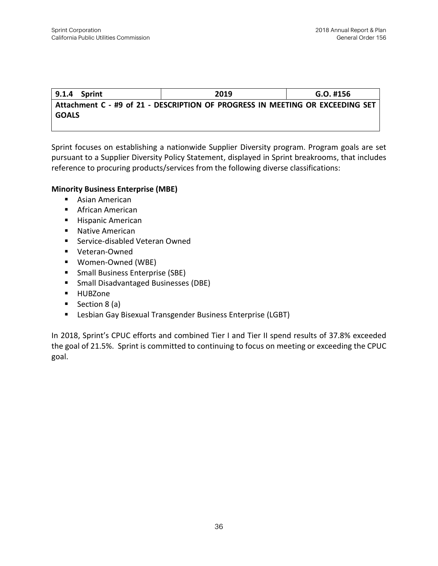**9.1.4 Sprint 2019 G.O. #156 Attachment C - #9 of 21 - DESCRIPTION OF PROGRESS IN MEETING OR EXCEEDING SET GOALS**

Sprint focuses on establishing a nationwide Supplier Diversity program. Program goals are set pursuant to a Supplier Diversity Policy Statement, displayed in Sprint breakrooms, that includes reference to procuring products/services from the following diverse classifications:

#### **Minority Business Enterprise (MBE)**

- Asian American
- African American
- Hispanic American
- Native American
- Service-disabled Veteran Owned
- Veteran-Owned
- Women-Owned (WBE)
- Small Business Enterprise (SBE)
- Small Disadvantaged Businesses (DBE)
- HUBZone
- Section 8 (a)
- **E** Lesbian Gay Bisexual Transgender Business Enterprise (LGBT)

In 2018, Sprint's CPUC efforts and combined Tier I and Tier II spend results of 37.8% exceeded the goal of 21.5%. Sprint is committed to continuing to focus on meeting or exceeding the CPUC goal.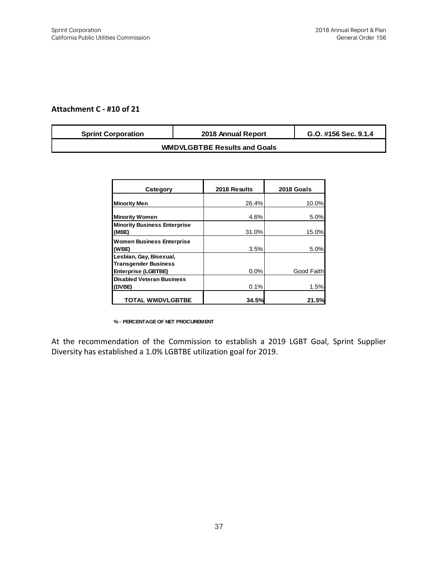#### **Attachment C - #10 of 21**

| <b>Sprint Corporation</b>           | 2018 Annual Report | G.O. #156 Sec. 9.1.4 |  |  |
|-------------------------------------|--------------------|----------------------|--|--|
| <b>WMDVLGBTBE Results and Goals</b> |                    |                      |  |  |

| Category                                                  | 2018 Results | 2018 Goals |
|-----------------------------------------------------------|--------------|------------|
| <b>Minority Men</b>                                       | 26.4%        | 10.0%      |
| <b>Minority Women</b>                                     | 4.6%         | 5.0%       |
| <b>Minority Business Enterprise</b><br>(MBE)              | 31.0%        | 15.0%      |
| <b>Women Business Enterprise</b>                          |              |            |
| (WBE)<br>Lesbian, Gay, Bisexual,                          | 3.5%         | 5.0%       |
| <b>Transgender Business</b><br><b>Enterprise (LGBTBE)</b> | 0.0%         | Good Faith |
| <b>Disabled Veteran Business</b><br>(DVBE)                | 0.1%         | 1.5%       |
| <b>TOTAL WMDVLGBTBE</b>                                   | 34.5%        | 21.5%      |

**% - PERCENTAGE OF NET PROCUREMENT**

At the recommendation of the Commission to establish a 2019 LGBT Goal, Sprint Supplier Diversity has established a 1.0% LGBTBE utilization goal for 2019.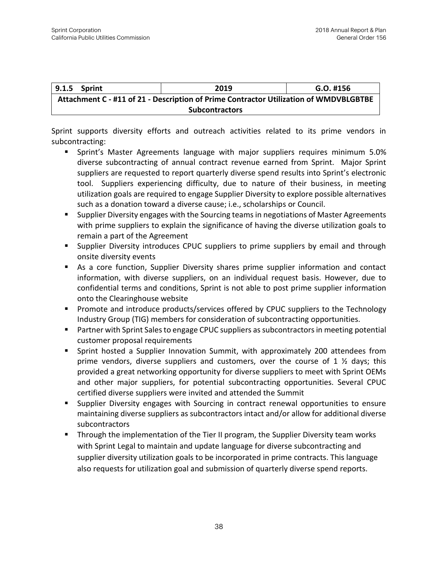| 9.1.5 Sprint                                                                          | 2019 | $G.O.$ #156 |  |  |  |
|---------------------------------------------------------------------------------------|------|-------------|--|--|--|
| Attachment C - #11 of 21 - Description of Prime Contractor Utilization of WMDVBLGBTBE |      |             |  |  |  |
| <b>Subcontractors</b>                                                                 |      |             |  |  |  |

Sprint supports diversity efforts and outreach activities related to its prime vendors in subcontracting:

- Sprint's Master Agreements language with major suppliers requires minimum 5.0% diverse subcontracting of annual contract revenue earned from Sprint. Major Sprint suppliers are requested to report quarterly diverse spend results into Sprint's electronic tool. Suppliers experiencing difficulty, due to nature of their business, in meeting utilization goals are required to engage Supplier Diversity to explore possible alternatives such as a donation toward a diverse cause; i.e., scholarships or Council.
- Supplier Diversity engages with the Sourcing teams in negotiations of Master Agreements with prime suppliers to explain the significance of having the diverse utilization goals to remain a part of the Agreement
- **E** Supplier Diversity introduces CPUC suppliers to prime suppliers by email and through onsite diversity events
- As a core function, Supplier Diversity shares prime supplier information and contact information, with diverse suppliers, on an individual request basis. However, due to confidential terms and conditions, Sprint is not able to post prime supplier information onto the Clearinghouse website
- Promote and introduce products/services offered by CPUC suppliers to the Technology Industry Group (TIG) members for consideration of subcontracting opportunities.
- Partner with Sprint Sales to engage CPUC suppliers as subcontractors in meeting potential customer proposal requirements
- Sprint hosted a Supplier Innovation Summit, with approximately 200 attendees from prime vendors, diverse suppliers and customers, over the course of 1  $\frac{1}{2}$  days; this provided a great networking opportunity for diverse suppliers to meet with Sprint OEMs and other major suppliers, for potential subcontracting opportunities. Several CPUC certified diverse suppliers were invited and attended the Summit
- Supplier Diversity engages with Sourcing in contract renewal opportunities to ensure maintaining diverse suppliers as subcontractors intact and/or allow for additional diverse subcontractors
- **■** Through the implementation of the Tier II program, the Supplier Diversity team works with Sprint Legal to maintain and update language for diverse subcontracting and supplier diversity utilization goals to be incorporated in prime contracts. This language also requests for utilization goal and submission of quarterly diverse spend reports.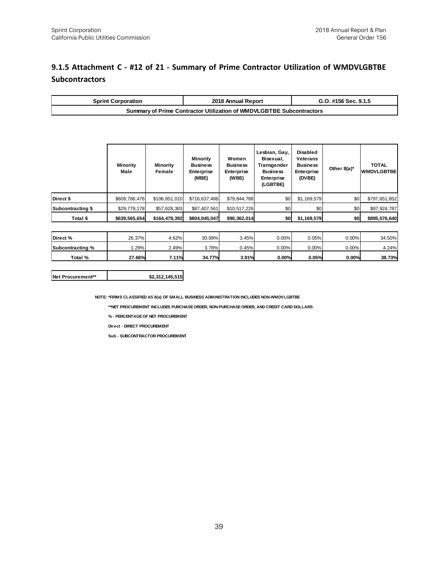### **9.1.5 Attachment C - #12 of 21 - Summary of Prime Contractor Utilization of WMDVLGBTBE Subcontractors**

| <b>Sprint Corporation</b>                                            | 2018 Annual Report | G.O. #156 Sec. 9.1.5 |  |  |
|----------------------------------------------------------------------|--------------------|----------------------|--|--|
| Summary of Prime Contractor Utilization of WMDVLGBTBE Subcontractors |                    |                      |  |  |

|                   | Minority<br>Male | Minority<br>Female | <b>Minority</b><br><b>Business</b><br><b>Enterprise</b><br>(MBE) | Women<br><b>Business</b><br><b>Enterprise</b><br>(WBE) | Lesbian, Gay,<br>Bisexual,<br>Transgender<br><b>Business</b><br><b>Enterprise</b><br>(LGBTBE) | Disabled<br><b>Veterans</b><br><b>Business</b><br><b>Enterprise</b><br>(DVBE) | Other $8(a)^*$ | <b>TOTAL</b><br><b>WMDVLGBTBE</b> |
|-------------------|------------------|--------------------|------------------------------------------------------------------|--------------------------------------------------------|-----------------------------------------------------------------------------------------------|-------------------------------------------------------------------------------|----------------|-----------------------------------|
| Direct \$         | \$609,786,476    | \$106,851,010      | \$716,637,486                                                    | \$79,844,788                                           | \$0                                                                                           | \$1,169,579                                                                   | \$0            | \$797,651,852                     |
| Subcontracting \$ | \$29,779,178     | \$57,628,383       | \$87,407,561                                                     | \$10,517,226                                           | \$0                                                                                           | \$0                                                                           | \$0            | \$97,924,787                      |
| Total \$          | \$639,565,654    | \$164,479,392      | \$804,045,047                                                    | \$90,362,014                                           | \$0                                                                                           | \$1,169,579                                                                   | \$0            | \$895,576,640                     |

| Direct %         | 26.37% | 4.62% | 30.99% | 3.45% | $0.00\%$ | $0.05\%$ | 0.00% | 34.50% |
|------------------|--------|-------|--------|-------|----------|----------|-------|--------|
| Subcontracting % | .29%   | 2.49% | 3.78%  | 0.45% | $0.00\%$ | $0.00\%$ | 0.00% | 4.24%  |
| Total %          | 27.66% | 7.11% | 34.77% | 3.91% | 0.00%    | 0.05%    | 0.00% | 38.73% |

#### **Net Procurement\*\* \$2,312,145,515**

**NOTE: \*FIRMS CLASSIFIED AS 8(a) OF SMALL BUSINESS ADMINISTRATION INCLUDES NON-WMDVLGBTBE**

**\*\*NET PROCUREMENT INCLUDES PURCHASE ORDER, NON-PURCHASE ORDER, AND CREDIT CARD DOLLARS**

**% - PERCENTAGE OF NET PROCUREMENT**

**Direct - DIRECT PROCUREMENT**

**Sub - SUBCONTRACTOR PROCUREMENT**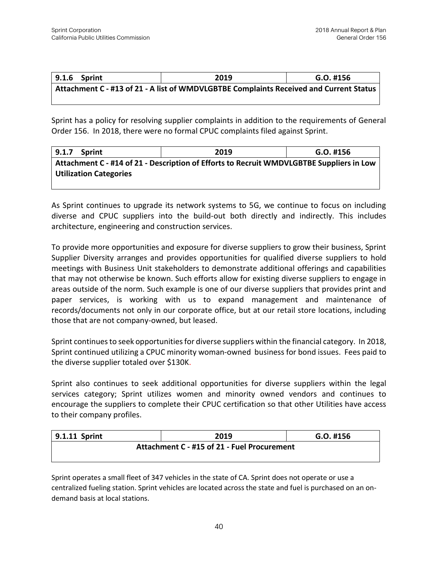| 9.1.6 Sprint | 2019                                                                                   | G.O. #156 |
|--------------|----------------------------------------------------------------------------------------|-----------|
|              | Attachment C - #13 of 21 - A list of WMDVLGBTBE Complaints Received and Current Status |           |

Sprint has a policy for resolving supplier complaints in addition to the requirements of General Order 156. In 2018, there were no formal CPUC complaints filed against Sprint.

| 9.1.7<br>Sprint                                                                          | 2019 | $G.O.$ #156 |  |  |  |  |
|------------------------------------------------------------------------------------------|------|-------------|--|--|--|--|
| Attachment C - #14 of 21 - Description of Efforts to Recruit WMDVLGBTBE Suppliers in Low |      |             |  |  |  |  |
| <b>Utilization Categories</b>                                                            |      |             |  |  |  |  |

As Sprint continues to upgrade its network systems to 5G, we continue to focus on including diverse and CPUC suppliers into the build-out both directly and indirectly. This includes architecture, engineering and construction services.

To provide more opportunities and exposure for diverse suppliers to grow their business, Sprint Supplier Diversity arranges and provides opportunities for qualified diverse suppliers to hold meetings with Business Unit stakeholders to demonstrate additional offerings and capabilities that may not otherwise be known. Such efforts allow for existing diverse suppliers to engage in areas outside of the norm. Such example is one of our diverse suppliers that provides print and paper services, is working with us to expand management and maintenance of records/documents not only in our corporate office, but at our retail store locations, including those that are not company-owned, but leased.

Sprint continues to seek opportunities for diverse suppliers within the financial category. In 2018, Sprint continued utilizing a CPUC minority woman-owned business for bond issues. Fees paid to the diverse supplier totaled over \$130K.

Sprint also continues to seek additional opportunities for diverse suppliers within the legal services category; Sprint utilizes women and minority owned vendors and continues to encourage the suppliers to complete their CPUC certification so that other Utilities have access to their company profiles.

| 9.1.11 Sprint                               | 2019 | G.O. #156 |  |  |
|---------------------------------------------|------|-----------|--|--|
| Attachment C - #15 of 21 - Fuel Procurement |      |           |  |  |

Sprint operates a small fleet of 347 vehicles in the state of CA. Sprint does not operate or use a centralized fueling station. Sprint vehicles are located across the state and fuel is purchased on an ondemand basis at local stations.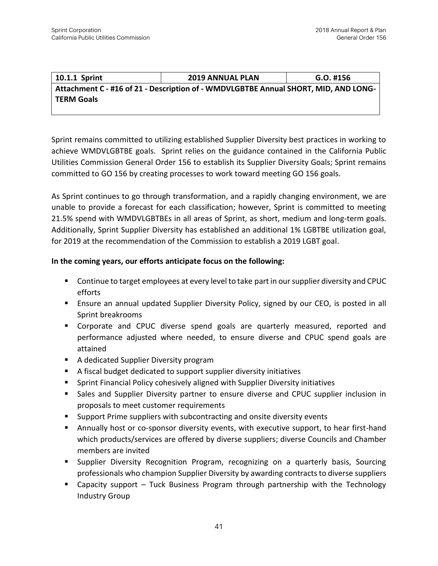| 10.1.1 Sprint     | <b>2019 ANNUAL PLAN</b>                                                             | $G.O.$ #156 |  |  |
|-------------------|-------------------------------------------------------------------------------------|-------------|--|--|
|                   | Attachment C - #16 of 21 - Description of - WMDVLGBTBE Annual SHORT, MID, AND LONG- |             |  |  |
| <b>TERM Goals</b> |                                                                                     |             |  |  |

Sprint remains committed to utilizing established Supplier Diversity best practices in working to achieve WMDVLGBTBE goals. Sprint relies on the guidance contained in the California Public Utilities Commission General Order 156 to establish its Supplier Diversity Goals; Sprint remains committed to GO 156 by creating processes to work toward meeting GO 156 goals.

As Sprint continues to go through transformation, and a rapidly changing environment, we are unable to provide a forecast for each classification; however, Sprint is committed to meeting 21.5% spend with WMDVLGBTBEs in all areas of Sprint, as short, medium and long-term goals. Additionally, Sprint Supplier Diversity has established an additional 1% LGBTBE utilization goal, for 2019 at the recommendation of the Commission to establish a 2019 LGBT goal.

#### **In the coming years, our efforts anticipate focus on the following:**

- Continue to target employees at every level to take part in our supplier diversity and CPUC efforts
- Ensure an annual updated Supplier Diversity Policy, signed by our CEO, is posted in all Sprint breakrooms
- Corporate and CPUC diverse spend goals are quarterly measured, reported and performance adjusted where needed, to ensure diverse and CPUC spend goals are attained
- A dedicated Supplier Diversity program
- A fiscal budget dedicated to support supplier diversity initiatives
- Sprint Financial Policy cohesively aligned with Supplier Diversity initiatives
- **■** Sales and Supplier Diversity partner to ensure diverse and CPUC supplier inclusion in proposals to meet customer requirements
- Support Prime suppliers with subcontracting and onsite diversity events
- Annually host or co-sponsor diversity events, with executive support, to hear first-hand which products/services are offered by diverse suppliers; diverse Councils and Chamber members are invited
- **E** Supplier Diversity Recognition Program, recognizing on a quarterly basis, Sourcing professionals who champion Supplier Diversity by awarding contractsto diverse suppliers
- Capacity support Tuck Business Program through partnership with the Technology Industry Group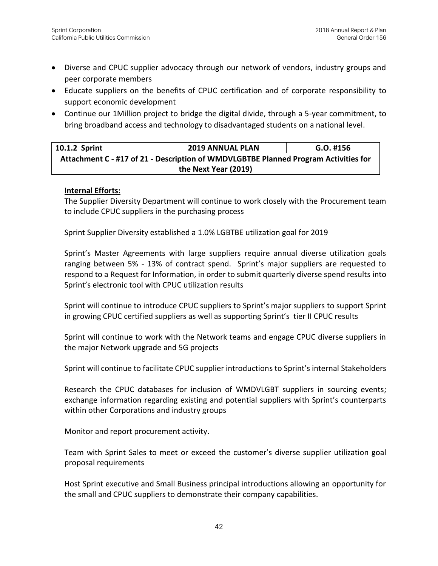- Diverse and CPUC supplier advocacy through our network of vendors, industry groups and peer corporate members
- Educate suppliers on the benefits of CPUC certification and of corporate responsibility to support economic development
- Continue our 1Million project to bridge the digital divide, through a 5-year commitment, to bring broadband access and technology to disadvantaged students on a national level.

| 10.1.2 Sprint                                                                       | <b>2019 ANNUAL PLAN</b> | $G.O.$ #156 |  |  |
|-------------------------------------------------------------------------------------|-------------------------|-------------|--|--|
| Attachment C - #17 of 21 - Description of WMDVLGBTBE Planned Program Activities for |                         |             |  |  |
| the Next Year (2019)                                                                |                         |             |  |  |

#### **Internal Efforts:**

The Supplier Diversity Department will continue to work closely with the Procurement team to include CPUC suppliers in the purchasing process

Sprint Supplier Diversity established a 1.0% LGBTBE utilization goal for 2019

Sprint's Master Agreements with large suppliers require annual diverse utilization goals ranging between 5% - 13% of contract spend. Sprint's major suppliers are requested to respond to a Request for Information, in order to submit quarterly diverse spend results into Sprint's electronic tool with CPUC utilization results

Sprint will continue to introduce CPUC suppliers to Sprint's major suppliers to support Sprint in growing CPUC certified suppliers as well as supporting Sprint's tier II CPUC results

Sprint will continue to work with the Network teams and engage CPUC diverse suppliers in the major Network upgrade and 5G projects

Sprint will continue to facilitate CPUC supplier introductions to Sprint's internal Stakeholders

Research the CPUC databases for inclusion of WMDVLGBT suppliers in sourcing events; exchange information regarding existing and potential suppliers with Sprint's counterparts within other Corporations and industry groups

Monitor and report procurement activity.

Team with Sprint Sales to meet or exceed the customer's diverse supplier utilization goal proposal requirements

Host Sprint executive and Small Business principal introductions allowing an opportunity for the small and CPUC suppliers to demonstrate their company capabilities.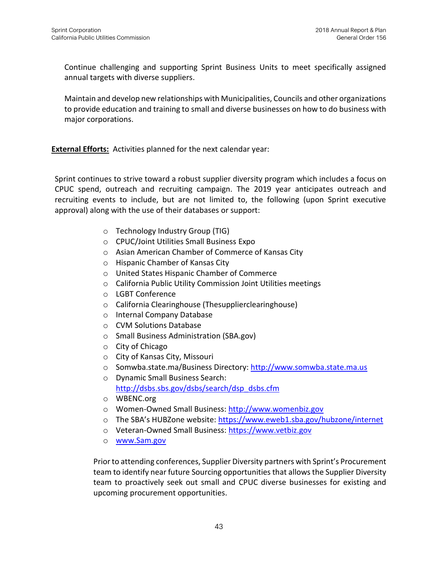Continue challenging and supporting Sprint Business Units to meet specifically assigned annual targets with diverse suppliers.

Maintain and develop new relationships with Municipalities, Councils and other organizations to provide education and training to small and diverse businesses on how to do business with major corporations.

**External Efforts:** Activities planned for the next calendar year:

Sprint continues to strive toward a robust supplier diversity program which includes a focus on CPUC spend, outreach and recruiting campaign. The 2019 year anticipates outreach and recruiting events to include, but are not limited to, the following (upon Sprint executive approval) along with the use of their databases or support:

- o Technology Industry Group (TIG)
- o CPUC/Joint Utilities Small Business Expo
- o Asian American Chamber of Commerce of Kansas City
- o Hispanic Chamber of Kansas City
- o United States Hispanic Chamber of Commerce
- o California Public Utility Commission Joint Utilities meetings
- o LGBT Conference
- o California Clearinghouse (Thesupplierclearinghouse)
- o Internal Company Database
- o CVM Solutions Database
- o Small Business Administration (SBA.gov)
- o City of Chicago
- o City of Kansas City, Missouri
- o Somwba.state.ma/Business Directory: [http://www.somwba.state.ma.us](http://www.somwba.state.ma.us/)
- o Dynamic Small Business Search: [http://dsbs.sbs.gov/dsbs/search/dsp\\_dsbs.cfm](http://dsbs.sbs.gov/dsbs/search/dsp_dsbs.cfm)
- o WBENC.org
- o Women-Owned Small Business: [http://www.womenbiz.gov](http://www.womenbiz.gov/)
- o The SBA's HUBZone website: <https://www.eweb1.sba.gov/hubzone/internet>
- o Veteran-Owned Small Business: [https://www.vetbiz.gov](https://www.vetbiz.gov/)
- o [www.Sam.gov](http://www.sam.gov/)

Prior to attending conferences, Supplier Diversity partners with Sprint's Procurement team to identify near future Sourcing opportunities that allows the Supplier Diversity team to proactively seek out small and CPUC diverse businesses for existing and upcoming procurement opportunities.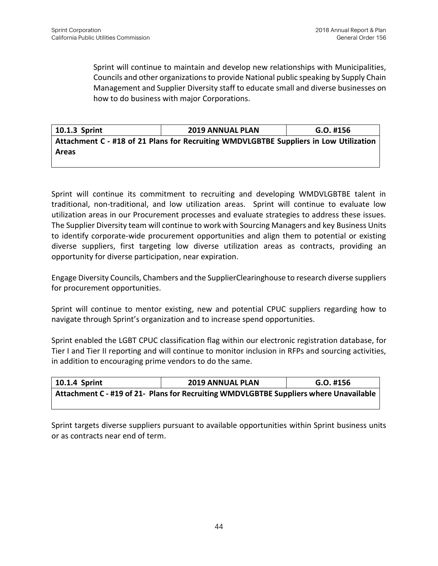Sprint will continue to maintain and develop new relationships with Municipalities, Councils and other organizations to provide National public speaking by Supply Chain Management and Supplier Diversity staff to educate small and diverse businesses on how to do business with major Corporations.

**10.1.3 Sprint 2019 ANNUAL PLAN G.O. #156 Attachment C - #18 of 21 Plans for Recruiting WMDVLGBTBE Suppliers in Low Utilization Areas** 

Sprint will continue its commitment to recruiting and developing WMDVLGBTBE talent in traditional, non-traditional, and low utilization areas. Sprint will continue to evaluate low utilization areas in our Procurement processes and evaluate strategies to address these issues. The Supplier Diversity team will continue to work with Sourcing Managers and key Business Units to identify corporate-wide procurement opportunities and align them to potential or existing diverse suppliers, first targeting low diverse utilization areas as contracts, providing an opportunity for diverse participation, near expiration.

Engage Diversity Councils, Chambers and the SupplierClearinghouse to research diverse suppliers for procurement opportunities.

Sprint will continue to mentor existing, new and potential CPUC suppliers regarding how to navigate through Sprint's organization and to increase spend opportunities.

Sprint enabled the LGBT CPUC classification flag within our electronic registration database, for Tier I and Tier II reporting and will continue to monitor inclusion in RFPs and sourcing activities, in addition to encouraging prime vendors to do the same.

| $\vert$ 10.1.4 Sprint                                                                 | <b>2019 ANNUAL PLAN</b> | $G.O.$ #156 |  |
|---------------------------------------------------------------------------------------|-------------------------|-------------|--|
| Attachment C - #19 of 21- Plans for Recruiting WMDVLGBTBE Suppliers where Unavailable |                         |             |  |

Sprint targets diverse suppliers pursuant to available opportunities within Sprint business units or as contracts near end of term.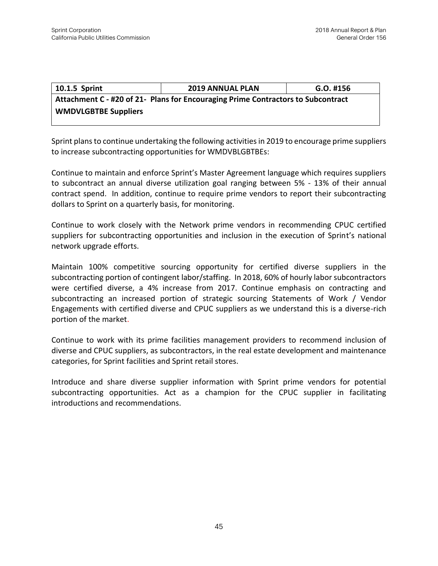### **10.1.5 Sprint 2019 ANNUAL PLAN G.O. #156 Attachment C - #20 of 21- Plans for Encouraging Prime Contractors to Subcontract WMDVLGBTBE Suppliers**

Sprint plans to continue undertaking the following activities in 2019 to encourage prime suppliers to increase subcontracting opportunities for WMDVBLGBTBEs:

Continue to maintain and enforce Sprint's Master Agreement language which requires suppliers to subcontract an annual diverse utilization goal ranging between 5% - 13% of their annual contract spend. In addition, continue to require prime vendors to report their subcontracting dollars to Sprint on a quarterly basis, for monitoring.

Continue to work closely with the Network prime vendors in recommending CPUC certified suppliers for subcontracting opportunities and inclusion in the execution of Sprint's national network upgrade efforts.

Maintain 100% competitive sourcing opportunity for certified diverse suppliers in the subcontracting portion of contingent labor/staffing. In 2018, 60% of hourly labor subcontractors were certified diverse, a 4% increase from 2017. Continue emphasis on contracting and subcontracting an increased portion of strategic sourcing Statements of Work / Vendor Engagements with certified diverse and CPUC suppliers as we understand this is a diverse-rich portion of the market.

Continue to work with its prime facilities management providers to recommend inclusion of diverse and CPUC suppliers, as subcontractors, in the real estate development and maintenance categories, for Sprint facilities and Sprint retail stores.

Introduce and share diverse supplier information with Sprint prime vendors for potential subcontracting opportunities. Act as a champion for the CPUC supplier in facilitating introductions and recommendations.